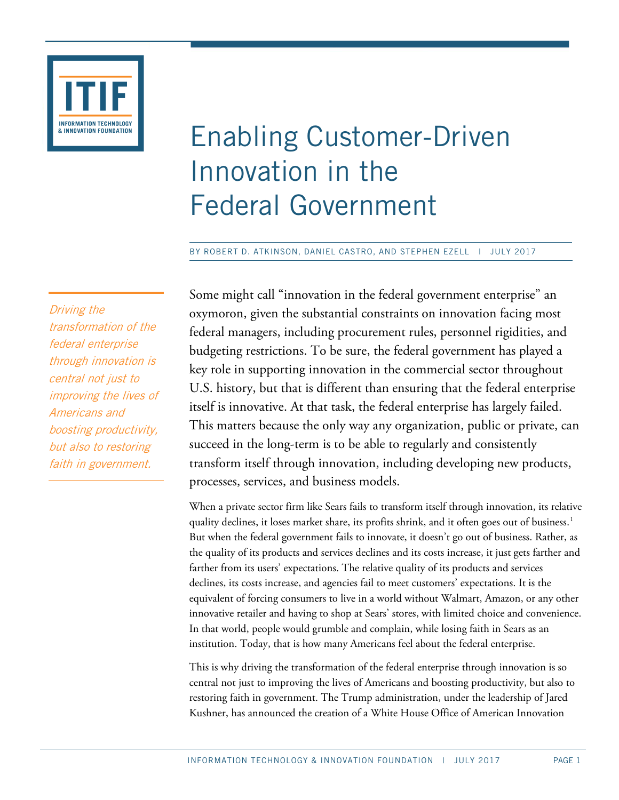

# Enabling Customer-Driven Innovation in the Federal Government

BY ROBERT D. ATKINSON, DANIEL CASTRO, AND STEPHEN EZELL | JULY 2017

Driving the transformation of the federal enterprise through innovation is central not just to improving the lives of Americans and boosting productivity, but also to restoring faith in government.

Some might call "innovation in the federal government enterprise" an oxymoron, given the substantial constraints on innovation facing most federal managers, including procurement rules, personnel rigidities, and budgeting restrictions. To be sure, the federal government has played a key role in supporting innovation in the commercial sector throughout U.S. history, but that is different than ensuring that the federal enterprise itself is innovative. At that task, the federal enterprise has largely failed. This matters because the only way any organization, public or private, can succeed in the long-term is to be able to regularly and consistently transform itself through innovation, including developing new products, processes, services, and business models.

When a private sector firm like Sears fails to transform itself through innovation, its relative quality declines, it loses market share, its profits shrink, and it often goes out of business.<sup>[1](#page-22-0)</sup> But when the federal government fails to innovate, it doesn't go out of business. Rather, as the quality of its products and services declines and its costs increase, it just gets farther and farther from its users' expectations. The relative quality of its products and services declines, its costs increase, and agencies fail to meet customers' expectations. It is the equivalent of forcing consumers to live in a world without Walmart, Amazon, or any other innovative retailer and having to shop at Sears' stores, with limited choice and convenience. In that world, people would grumble and complain, while losing faith in Sears as an institution. Today, that is how many Americans feel about the federal enterprise.

This is why driving the transformation of the federal enterprise through innovation is so central not just to improving the lives of Americans and boosting productivity, but also to restoring faith in government. The Trump administration, under the leadership of Jared Kushner, has announced the creation of a White House Office of American Innovation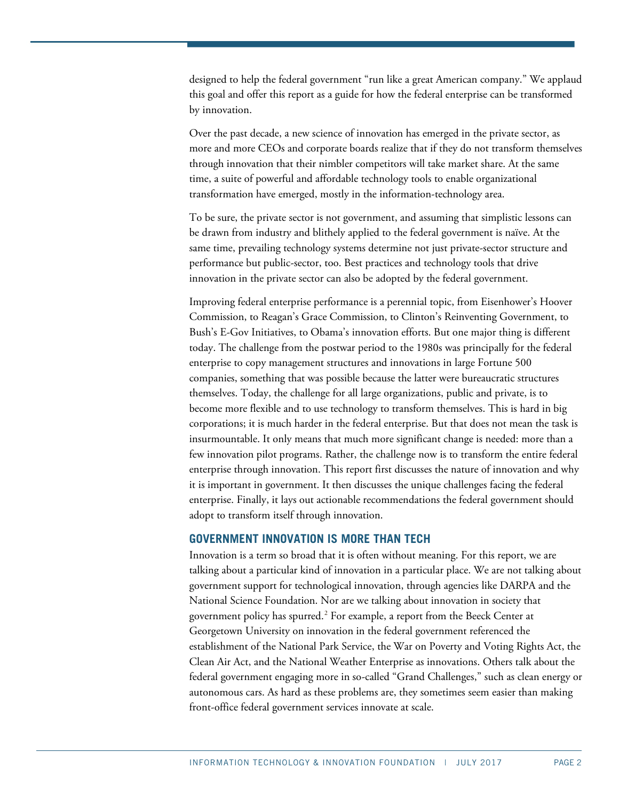designed to help the federal government "run like a great American company." We applaud this goal and offer this report as a guide for how the federal enterprise can be transformed by innovation.

Over the past decade, a new science of innovation has emerged in the private sector, as more and more CEOs and corporate boards realize that if they do not transform themselves through innovation that their nimbler competitors will take market share. At the same time, a suite of powerful and affordable technology tools to enable organizational transformation have emerged, mostly in the information-technology area.

To be sure, the private sector is not government, and assuming that simplistic lessons can be drawn from industry and blithely applied to the federal government is naïve. At the same time, prevailing technology systems determine not just private-sector structure and performance but public-sector, too. Best practices and technology tools that drive innovation in the private sector can also be adopted by the federal government.

Improving federal enterprise performance is a perennial topic, from Eisenhower's Hoover Commission, to Reagan's Grace Commission, to Clinton's Reinventing Government, to Bush's E-Gov Initiatives, to Obama's innovation efforts. But one major thing is different today. The challenge from the postwar period to the 1980s was principally for the federal enterprise to copy management structures and innovations in large Fortune 500 companies, something that was possible because the latter were bureaucratic structures themselves. Today, the challenge for all large organizations, public and private, is to become more flexible and to use technology to transform themselves. This is hard in big corporations; it is much harder in the federal enterprise. But that does not mean the task is insurmountable. It only means that much more significant change is needed: more than a few innovation pilot programs. Rather, the challenge now is to transform the entire federal enterprise through innovation. This report first discusses the nature of innovation and why it is important in government. It then discusses the unique challenges facing the federal enterprise. Finally, it lays out actionable recommendations the federal government should adopt to transform itself through innovation.

# **GOVERNMENT INNOVATION IS MORE THAN TECH**

Innovation is a term so broad that it is often without meaning. For this report, we are talking about a particular kind of innovation in a particular place. We are not talking about government support for technological innovation, through agencies like DARPA and the National Science Foundation. Nor are we talking about innovation in society that government policy has spurred.<sup>[2](#page-22-1)</sup> For example, a report from the Beeck Center at Georgetown University on innovation in the federal government referenced the establishment of the National Park Service, the War on Poverty and Voting Rights Act, the Clean Air Act, and the National Weather Enterprise as innovations. Others talk about the federal government engaging more in so-called "Grand Challenges," such as clean energy or autonomous cars. As hard as these problems are, they sometimes seem easier than making front-office federal government services innovate at scale.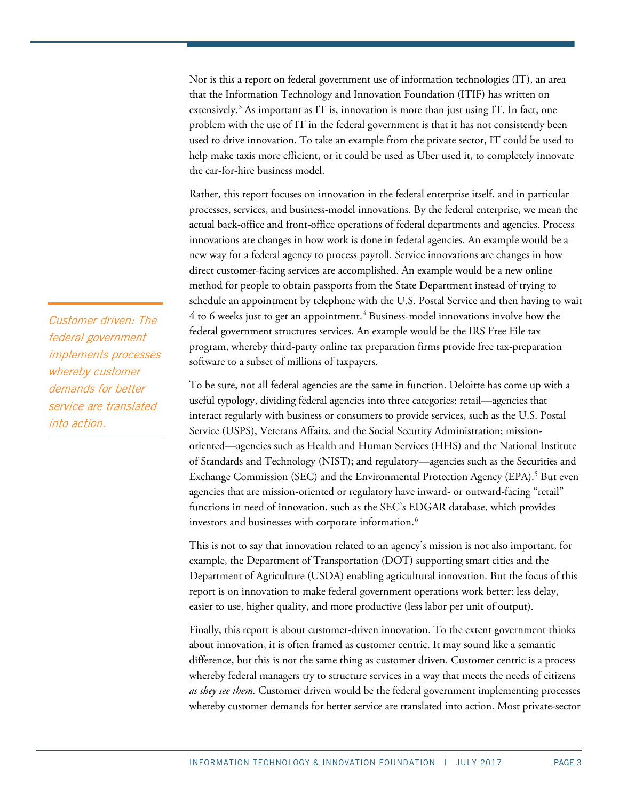Nor is this a report on federal government use of information technologies (IT), an area that the Information Technology and Innovation Foundation (ITIF) has written on extensively.<sup>[3](#page-22-2)</sup> As important as IT is, innovation is more than just using IT. In fact, one problem with the use of IT in the federal government is that it has not consistently been used to drive innovation. To take an example from the private sector, IT could be used to help make taxis more efficient, or it could be used as Uber used it, to completely innovate the car-for-hire business model.

Rather, this report focuses on innovation in the federal enterprise itself, and in particular processes, services, and business-model innovations. By the federal enterprise, we mean the actual back-office and front-office operations of federal departments and agencies. Process innovations are changes in how work is done in federal agencies. An example would be a new way for a federal agency to process payroll. Service innovations are changes in how direct customer-facing services are accomplished. An example would be a new online method for people to obtain passports from the State Department instead of trying to schedule an appointment by telephone with the U.S. Postal Service and then having to wait  $4$  to 6 weeks just to get an appointment.<sup> $4$ </sup> Business-model innovations involve how the federal government structures services. An example would be the IRS Free File tax program, whereby third-party online tax preparation firms provide free tax-preparation software to a subset of millions of taxpayers.

To be sure, not all federal agencies are the same in function. Deloitte has come up with a useful typology, dividing federal agencies into three categories: retail—agencies that interact regularly with business or consumers to provide services, such as the U.S. Postal Service (USPS), Veterans Affairs, and the Social Security Administration; missionoriented—agencies such as Health and Human Services (HHS) and the National Institute of Standards and Technology (NIST); and regulatory—agencies such as the Securities and Exchange Commission (SEC) and the Environmental Protection Agency (EPA).<sup>[5](#page-22-4)</sup> But even agencies that are mission-oriented or regulatory have inward- or outward-facing "retail" functions in need of innovation, such as the SEC's EDGAR database, which provides investors and businesses with corporate information. $^6$  $^6$ 

This is not to say that innovation related to an agency's mission is not also important, for example, the Department of Transportation (DOT) supporting smart cities and the Department of Agriculture (USDA) enabling agricultural innovation. But the focus of this report is on innovation to make federal government operations work better: less delay, easier to use, higher quality, and more productive (less labor per unit of output).

Finally, this report is about customer-driven innovation. To the extent government thinks about innovation, it is often framed as customer centric. It may sound like a semantic difference, but this is not the same thing as customer driven. Customer centric is a process whereby federal managers try to structure services in a way that meets the needs of citizens *as they see them.* Customer driven would be the federal government implementing processes whereby customer demands for better service are translated into action. Most private-sector

Customer driven: The federal government implements processes whereby customer demands for better service are translated into action.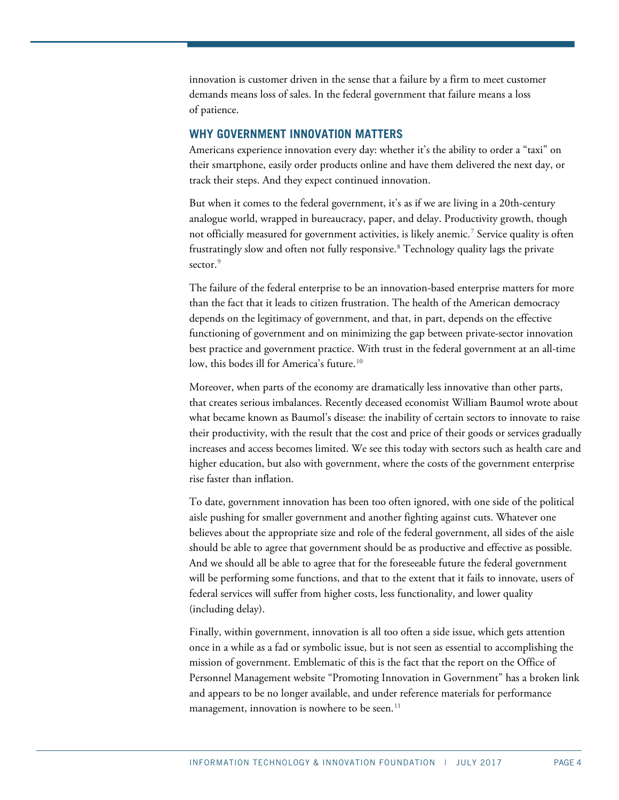innovation is customer driven in the sense that a failure by a firm to meet customer demands means loss of sales. In the federal government that failure means a loss of patience.

## **WHY GOVERNMENT INNOVATION MATTERS**

Americans experience innovation every day: whether it's the ability to order a "taxi" on their smartphone, easily order products online and have them delivered the next day, or track their steps. And they expect continued innovation.

But when it comes to the federal government, it's as if we are living in a 20th-century analogue world, wrapped in bureaucracy, paper, and delay. Productivity growth, though not officially measured for government activities, is likely anemic. [7](#page-22-6) Service quality is often frustratingly slow and often not fully responsive. [8](#page-22-7) Technology quality lags the private sector.<sup>[9](#page-22-8)</sup>

The failure of the federal enterprise to be an innovation-based enterprise matters for more than the fact that it leads to citizen frustration. The health of the American democracy depends on the legitimacy of government, and that, in part, depends on the effective functioning of government and on minimizing the gap between private-sector innovation best practice and government practice. With trust in the federal government at an all-time low, this bodes ill for America's future.<sup>[10](#page-22-9)</sup>

Moreover, when parts of the economy are dramatically less innovative than other parts, that creates serious imbalances. Recently deceased economist William Baumol wrote about what became known as Baumol's disease: the inability of certain sectors to innovate to raise their productivity, with the result that the cost and price of their goods or services gradually increases and access becomes limited. We see this today with sectors such as health care and higher education, but also with government, where the costs of the government enterprise rise faster than inflation.

To date, government innovation has been too often ignored, with one side of the political aisle pushing for smaller government and another fighting against cuts. Whatever one believes about the appropriate size and role of the federal government, all sides of the aisle should be able to agree that government should be as productive and effective as possible. And we should all be able to agree that for the foreseeable future the federal government will be performing some functions, and that to the extent that it fails to innovate, users of federal services will suffer from higher costs, less functionality, and lower quality (including delay).

Finally, within government, innovation is all too often a side issue, which gets attention once in a while as a fad or symbolic issue, but is not seen as essential to accomplishing the mission of government. Emblematic of this is the fact that the report on the Office of Personnel Management website "Promoting Innovation in Government" has a broken link and appears to be no longer available, and under reference materials for performance management, innovation is nowhere to be seen. $11$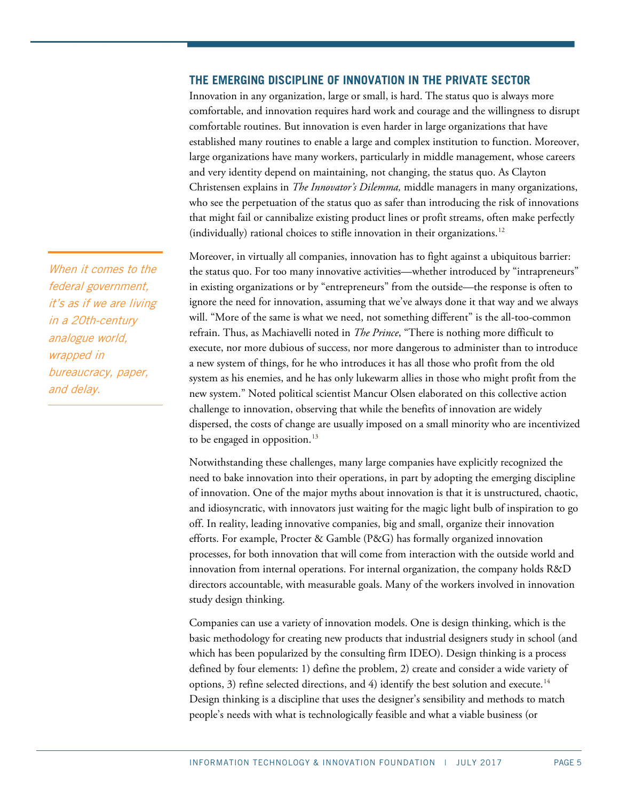# **THE EMERGING DISCIPLINE OF INNOVATION IN THE PRIVATE SECTOR**

Innovation in any organization, large or small, is hard. The status quo is always more comfortable, and innovation requires hard work and courage and the willingness to disrupt comfortable routines. But innovation is even harder in large organizations that have established many routines to enable a large and complex institution to function. Moreover, large organizations have many workers, particularly in middle management, whose careers and very identity depend on maintaining, not changing, the status quo. As Clayton Christensen explains in *The Innovator's Dilemma,* middle managers in many organizations, who see the perpetuation of the status quo as safer than introducing the risk of innovations that might fail or cannibalize existing product lines or profit streams, often make perfectly (individually) rational choices to stifle innovation in their organizations.<sup>[12](#page-22-11)</sup>

Moreover, in virtually all companies, innovation has to fight against a ubiquitous barrier: the status quo. For too many innovative activities—whether introduced by "intrapreneurs" in existing organizations or by "entrepreneurs" from the outside—the response is often to ignore the need for innovation, assuming that we've always done it that way and we always will. "More of the same is what we need, not something different" is the all-too-common refrain. Thus, as Machiavelli noted in *The Prince*, "There is nothing more difficult to execute, nor more dubious of success, nor more dangerous to administer than to introduce a new system of things, for he who introduces it has all those who profit from the old system as his enemies, and he has only lukewarm allies in those who might profit from the new system." Noted political scientist Mancur Olsen elaborated on this collective action challenge to innovation, observing that while the benefits of innovation are widely dispersed, the costs of change are usually imposed on a small minority who are incentivized to be engaged in opposition.<sup>[13](#page-22-12)</sup>

Notwithstanding these challenges, many large companies have explicitly recognized the need to bake innovation into their operations, in part by adopting the emerging discipline of innovation. One of the major myths about innovation is that it is unstructured, chaotic, and idiosyncratic, with innovators just waiting for the magic light bulb of inspiration to go off. In reality, leading innovative companies, big and small, organize their innovation efforts. For example, Procter & Gamble (P&G) has formally organized innovation processes, for both innovation that will come from interaction with the outside world and innovation from internal operations. For internal organization, the company holds R&D directors accountable, with measurable goals. Many of the workers involved in innovation study design thinking.

Companies can use a variety of innovation models. One is design thinking, which is the basic methodology for creating new products that industrial designers study in school (and which has been popularized by the consulting firm IDEO). Design thinking is a process defined by four elements: 1) define the problem, 2) create and consider a wide variety of options, 3) refine selected directions, and 4) identify the best solution and execute.<sup>[14](#page-22-13)</sup> Design thinking is a discipline that uses the designer's sensibility and methods to match people's needs with what is technologically feasible and what a viable business (or

When it comes to the federal government, it's as if we are living in a 20th-century analogue world, wrapped in bureaucracy, paper, and delay.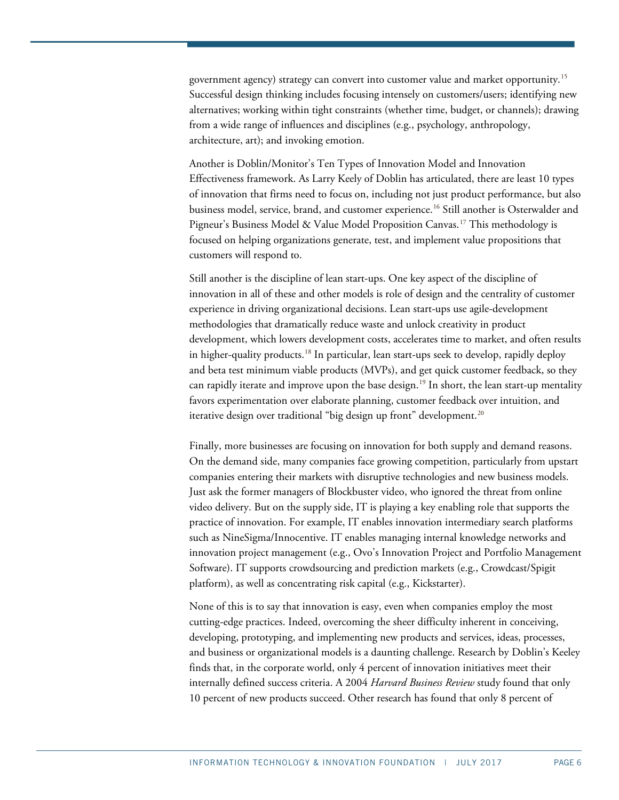government agency) strategy can convert into customer value and market opportunity.[15](#page-23-0) Successful design thinking includes focusing intensely on customers/users; identifying new alternatives; working within tight constraints (whether time, budget, or channels); drawing from a wide range of influences and disciplines (e.g., psychology, anthropology, architecture, art); and invoking emotion.

Another is Doblin/Monitor's Ten Types of Innovation Model and Innovation Effectiveness framework. As Larry Keely of Doblin has articulated, there are least 10 types of innovation that firms need to focus on, including not just product performance, but also business model, service, brand, and customer experience.[16](#page-23-1) Still another is Osterwalder and Pigneur's Business Model & Value Model Proposition Canvas.<sup>[17](#page-23-2)</sup> This methodology is focused on helping organizations generate, test, and implement value propositions that customers will respond to.

Still another is the discipline of lean start-ups. One key aspect of the discipline of innovation in all of these and other models is role of design and the centrality of customer experience in driving organizational decisions. Lean start-ups use agile-development methodologies that dramatically reduce waste and unlock creativity in product development, which lowers development costs, accelerates time to market, and often results in higher-quality products.<sup>[18](#page-23-3)</sup> In particular, lean start-ups seek to develop, rapidly deploy and beta test minimum viable products (MVPs), and get quick customer feedback, so they can rapidly iterate and improve upon the base design.<sup>[19](#page-23-4)</sup> In short, the lean start-up mentality favors experimentation over elaborate planning, customer feedback over intuition, and iterative design over traditional "big design up front" development. $^{\scriptscriptstyle 20}$  $^{\scriptscriptstyle 20}$  $^{\scriptscriptstyle 20}$ 

Finally, more businesses are focusing on innovation for both supply and demand reasons. On the demand side, many companies face growing competition, particularly from upstart companies entering their markets with disruptive technologies and new business models. Just ask the former managers of Blockbuster video, who ignored the threat from online video delivery. But on the supply side, IT is playing a key enabling role that supports the practice of innovation. For example, IT enables innovation intermediary search platforms such as NineSigma/Innocentive. IT enables managing internal knowledge networks and innovation project management (e.g., Ovo's Innovation Project and Portfolio Management Software). IT supports crowdsourcing and prediction markets (e.g., Crowdcast/Spigit platform), as well as concentrating risk capital (e.g., Kickstarter).

None of this is to say that innovation is easy, even when companies employ the most cutting-edge practices. Indeed, overcoming the sheer difficulty inherent in conceiving, developing, prototyping, and implementing new products and services, ideas, processes, and business or organizational models is a daunting challenge. Research by Doblin's Keeley finds that, in the corporate world, only 4 percent of innovation initiatives meet their internally defined success criteria. A 2004 *Harvard Business Review* study found that only 10 percent of new products succeed. Other research has found that only 8 percent of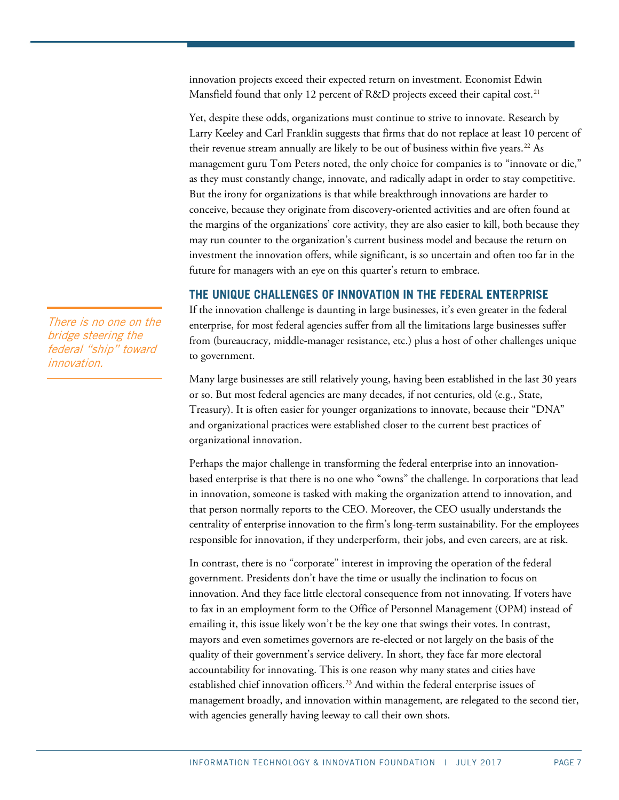innovation projects exceed their expected return on investment. Economist Edwin Mansfield found that only 12 percent of R&D projects exceed their capital cost.<sup>[21](#page-23-6)</sup>

Yet, despite these odds, organizations must continue to strive to innovate. Research by Larry Keeley and Carl Franklin suggests that firms that do not replace at least 10 percent of their revenue stream annually are likely to be out of business within five years.<sup>22</sup> As management guru Tom Peters noted, the only choice for companies is to "innovate or die," as they must constantly change, innovate, and radically adapt in order to stay competitive. But the irony for organizations is that while breakthrough innovations are harder to conceive, because they originate from discovery-oriented activities and are often found at the margins of the organizations' core activity, they are also easier to kill, both because they may run counter to the organization's current business model and because the return on investment the innovation offers, while significant, is so uncertain and often too far in the future for managers with an eye on this quarter's return to embrace.

# **THE UNIQUE CHALLENGES OF INNOVATION IN THE FEDERAL ENTERPRISE**

If the innovation challenge is daunting in large businesses, it's even greater in the federal enterprise, for most federal agencies suffer from all the limitations large businesses suffer from (bureaucracy, middle-manager resistance, etc.) plus a host of other challenges unique to government.

Many large businesses are still relatively young, having been established in the last 30 years or so. But most federal agencies are many decades, if not centuries, old (e.g., State, Treasury). It is often easier for younger organizations to innovate, because their "DNA" and organizational practices were established closer to the current best practices of organizational innovation.

Perhaps the major challenge in transforming the federal enterprise into an innovationbased enterprise is that there is no one who "owns" the challenge. In corporations that lead in innovation, someone is tasked with making the organization attend to innovation, and that person normally reports to the CEO. Moreover, the CEO usually understands the centrality of enterprise innovation to the firm's long-term sustainability. For the employees responsible for innovation, if they underperform, their jobs, and even careers, are at risk.

In contrast, there is no "corporate" interest in improving the operation of the federal government. Presidents don't have the time or usually the inclination to focus on innovation. And they face little electoral consequence from not innovating. If voters have to fax in an employment form to the Office of Personnel Management (OPM) instead of emailing it, this issue likely won't be the key one that swings their votes. In contrast, mayors and even sometimes governors are re-elected or not largely on the basis of the quality of their government's service delivery. In short, they face far more electoral accountability for innovating. This is one reason why many states and cities have established chief innovation officers.<sup>[23](#page-23-8)</sup> And within the federal enterprise issues of management broadly, and innovation within management, are relegated to the second tier, with agencies generally having leeway to call their own shots.

There is no one on the bridge steering the federal "ship" toward innovation.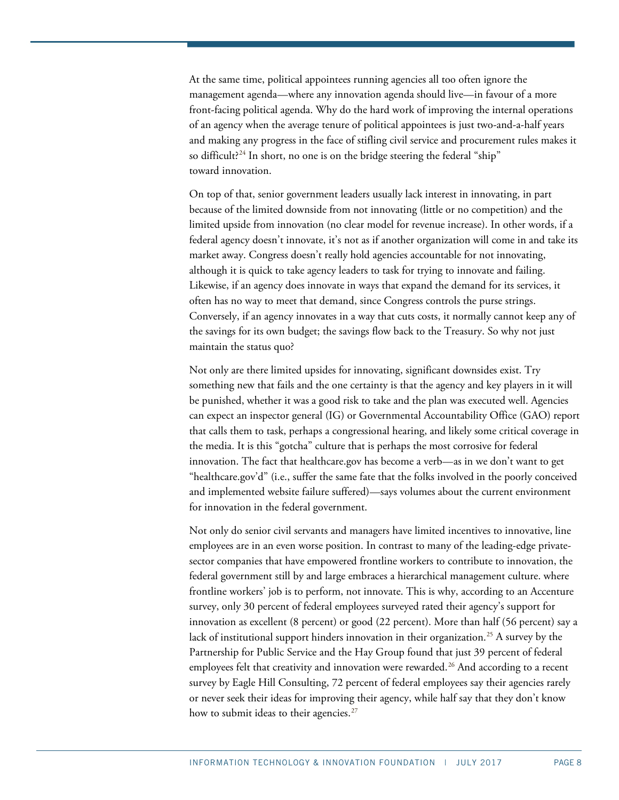At the same time, political appointees running agencies all too often ignore the management agenda—where any innovation agenda should live—in favour of a more front-facing political agenda. Why do the hard work of improving the internal operations of an agency when the average tenure of political appointees is just two-and-a-half years and making any progress in the face of stifling civil service and procurement rules makes it so difficult? $^{24}$  $^{24}$  $^{24}$  In short, no one is on the bridge steering the federal "ship" toward innovation.

On top of that, senior government leaders usually lack interest in innovating, in part because of the limited downside from not innovating (little or no competition) and the limited upside from innovation (no clear model for revenue increase). In other words, if a federal agency doesn't innovate, it's not as if another organization will come in and take its market away. Congress doesn't really hold agencies accountable for not innovating, although it is quick to take agency leaders to task for trying to innovate and failing. Likewise, if an agency does innovate in ways that expand the demand for its services, it often has no way to meet that demand, since Congress controls the purse strings. Conversely, if an agency innovates in a way that cuts costs, it normally cannot keep any of the savings for its own budget; the savings flow back to the Treasury. So why not just maintain the status quo?

Not only are there limited upsides for innovating, significant downsides exist. Try something new that fails and the one certainty is that the agency and key players in it will be punished, whether it was a good risk to take and the plan was executed well. Agencies can expect an inspector general (IG) or Governmental Accountability Office (GAO) report that calls them to task, perhaps a congressional hearing, and likely some critical coverage in the media. It is this "gotcha" culture that is perhaps the most corrosive for federal innovation. The fact that healthcare.gov has become a verb—as in we don't want to get "healthcare.gov'd" (i.e., suffer the same fate that the folks involved in the poorly conceived and implemented website failure suffered)—says volumes about the current environment for innovation in the federal government.

Not only do senior civil servants and managers have limited incentives to innovative, line employees are in an even worse position. In contrast to many of the leading-edge privatesector companies that have empowered frontline workers to contribute to innovation, the federal government still by and large embraces a hierarchical management culture. where frontline workers' job is to perform, not innovate. This is why, according to an Accenture survey, only 30 percent of federal employees surveyed rated their agency's support for innovation as excellent (8 percent) or good (22 percent). More than half (56 percent) say a lack of institutional support hinders innovation in their organization.<sup>25</sup> A survey by the Partnership for Public Service and the Hay Group found that just 39 percent of federal employees felt that creativity and innovation were rewarded.<sup>[26](#page-23-11)</sup> And according to a recent survey by Eagle Hill Consulting, 72 percent of federal employees say their agencies rarely or never seek their ideas for improving their agency, while half say that they don't know how to submit ideas to their agencies.<sup>[27](#page-23-12)</sup>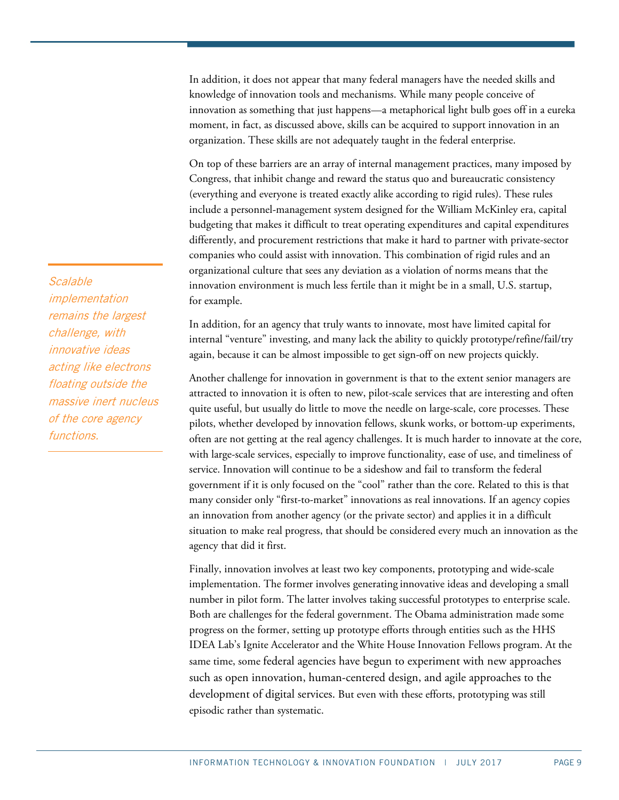In addition, it does not appear that many federal managers have the needed skills and knowledge of innovation tools and mechanisms. While many people conceive of innovation as something that just happens—a metaphorical light bulb goes off in a eureka moment, in fact, as discussed above, skills can be acquired to support innovation in an organization. These skills are not adequately taught in the federal enterprise.

On top of these barriers are an array of internal management practices, many imposed by Congress, that inhibit change and reward the status quo and bureaucratic consistency (everything and everyone is treated exactly alike according to rigid rules). These rules include a personnel-management system designed for the William McKinley era, capital budgeting that makes it difficult to treat operating expenditures and capital expenditures differently, and procurement restrictions that make it hard to partner with private-sector companies who could assist with innovation. This combination of rigid rules and an organizational culture that sees any deviation as a violation of norms means that the innovation environment is much less fertile than it might be in a small, U.S. startup, for example.

In addition, for an agency that truly wants to innovate, most have limited capital for internal "venture" investing, and many lack the ability to quickly prototype/refine/fail/try again, because it can be almost impossible to get sign-off on new projects quickly.

Another challenge for innovation in government is that to the extent senior managers are attracted to innovation it is often to new, pilot-scale services that are interesting and often quite useful, but usually do little to move the needle on large-scale, core processes. These pilots, whether developed by innovation fellows, skunk works, or bottom-up experiments, often are not getting at the real agency challenges. It is much harder to innovate at the core, with large-scale services, especially to improve functionality, ease of use, and timeliness of service. Innovation will continue to be a sideshow and fail to transform the federal government if it is only focused on the "cool" rather than the core. Related to this is that many consider only "first-to-market" innovations as real innovations. If an agency copies an innovation from another agency (or the private sector) and applies it in a difficult situation to make real progress, that should be considered every much an innovation as the agency that did it first.

Finally, innovation involves at least two key components, prototyping and wide-scale implementation. The former involves generating innovative ideas and developing a small number in pilot form. The latter involves taking successful prototypes to enterprise scale. Both are challenges for the federal government. The Obama administration made some progress on the former, setting up prototype efforts through entities such as the HHS IDEA Lab's Ignite Accelerator and the White House Innovation Fellows program. At the same time, some federal agencies have begun to experiment with new approaches such as open innovation, human-centered design, and agile approaches to the development of digital services. But even with these efforts, prototyping was still episodic rather than systematic.

**Scalable** implementation remains the largest challenge, with innovative ideas acting like electrons floating outside the massive inert nucleus of the core agency functions.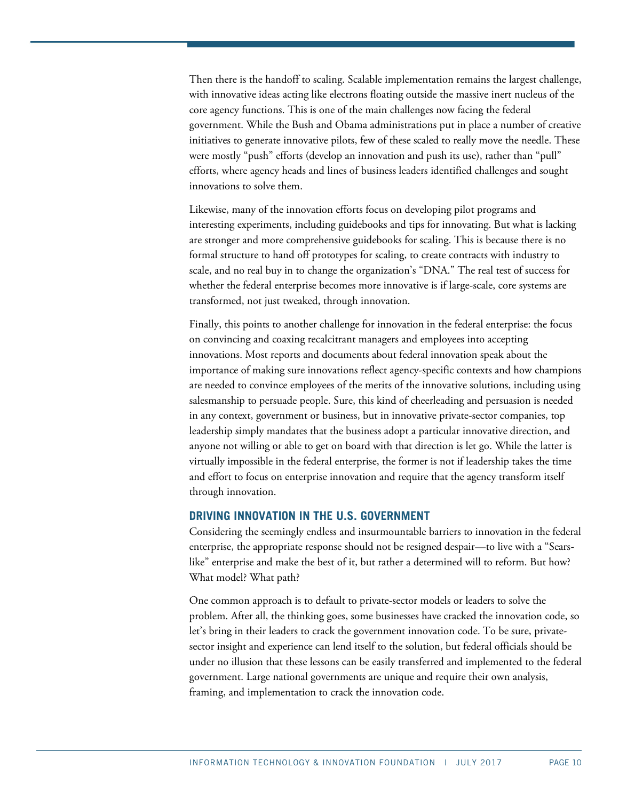Then there is the handoff to scaling. Scalable implementation remains the largest challenge, with innovative ideas acting like electrons floating outside the massive inert nucleus of the core agency functions. This is one of the main challenges now facing the federal government. While the Bush and Obama administrations put in place a number of creative initiatives to generate innovative pilots, few of these scaled to really move the needle. These were mostly "push" efforts (develop an innovation and push its use), rather than "pull" efforts, where agency heads and lines of business leaders identified challenges and sought innovations to solve them.

Likewise, many of the innovation efforts focus on developing pilot programs and interesting experiments, including guidebooks and tips for innovating. But what is lacking are stronger and more comprehensive guidebooks for scaling. This is because there is no formal structure to hand off prototypes for scaling, to create contracts with industry to scale, and no real buy in to change the organization's "DNA." The real test of success for whether the federal enterprise becomes more innovative is if large-scale, core systems are transformed, not just tweaked, through innovation.

Finally, this points to another challenge for innovation in the federal enterprise: the focus on convincing and coaxing recalcitrant managers and employees into accepting innovations. Most reports and documents about federal innovation speak about the importance of making sure innovations reflect agency-specific contexts and how champions are needed to convince employees of the merits of the innovative solutions, including using salesmanship to persuade people. Sure, this kind of cheerleading and persuasion is needed in any context, government or business, but in innovative private-sector companies, top leadership simply mandates that the business adopt a particular innovative direction, and anyone not willing or able to get on board with that direction is let go. While the latter is virtually impossible in the federal enterprise, the former is not if leadership takes the time and effort to focus on enterprise innovation and require that the agency transform itself through innovation.

# **DRIVING INNOVATION IN THE U.S. GOVERNMENT**

Considering the seemingly endless and insurmountable barriers to innovation in the federal enterprise, the appropriate response should not be resigned despair—to live with a "Searslike" enterprise and make the best of it, but rather a determined will to reform. But how? What model? What path?

One common approach is to default to private-sector models or leaders to solve the problem. After all, the thinking goes, some businesses have cracked the innovation code, so let's bring in their leaders to crack the government innovation code. To be sure, privatesector insight and experience can lend itself to the solution, but federal officials should be under no illusion that these lessons can be easily transferred and implemented to the federal government. Large national governments are unique and require their own analysis, framing, and implementation to crack the innovation code.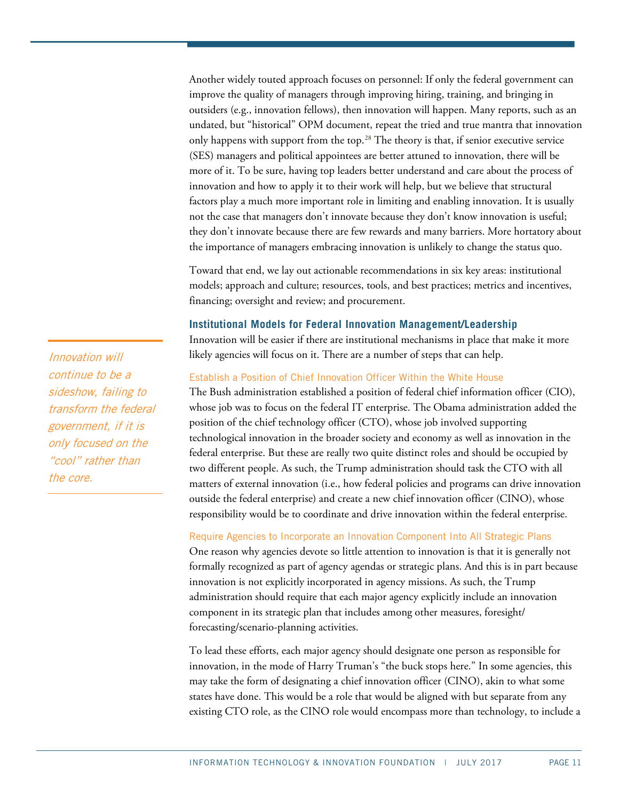Another widely touted approach focuses on personnel: If only the federal government can improve the quality of managers through improving hiring, training, and bringing in outsiders (e.g., innovation fellows), then innovation will happen. Many reports, such as an undated, but "historical" OPM document, repeat the tried and true mantra that innovation only happens with support from the top.<sup>[28](#page-23-13)</sup> The theory is that, if senior executive service (SES) managers and political appointees are better attuned to innovation, there will be more of it. To be sure, having top leaders better understand and care about the process of innovation and how to apply it to their work will help, but we believe that structural factors play a much more important role in limiting and enabling innovation. It is usually not the case that managers don't innovate because they don't know innovation is useful; they don't innovate because there are few rewards and many barriers. More hortatory about the importance of managers embracing innovation is unlikely to change the status quo.

Toward that end, we lay out actionable recommendations in six key areas: institutional models; approach and culture; resources, tools, and best practices; metrics and incentives, financing; oversight and review; and procurement.

# **Institutional Models for Federal Innovation Management/Leadership**

Innovation will be easier if there are institutional mechanisms in place that make it more likely agencies will focus on it. There are a number of steps that can help.

# Establish a Position of Chief Innovation Officer Within the White House

The Bush administration established a position of federal chief information officer (CIO), whose job was to focus on the federal IT enterprise. The Obama administration added the position of the chief technology officer (CTO), whose job involved supporting technological innovation in the broader society and economy as well as innovation in the federal enterprise. But these are really two quite distinct roles and should be occupied by two different people. As such, the Trump administration should task the CTO with all matters of external innovation (i.e., how federal policies and programs can drive innovation outside the federal enterprise) and create a new chief innovation officer (CINO), whose responsibility would be to coordinate and drive innovation within the federal enterprise.

# Require Agencies to Incorporate an Innovation Component Into All Strategic Plans

One reason why agencies devote so little attention to innovation is that it is generally not formally recognized as part of agency agendas or strategic plans. And this is in part because innovation is not explicitly incorporated in agency missions. As such, the Trump administration should require that each major agency explicitly include an innovation component in its strategic plan that includes among other measures, foresight/ forecasting/scenario-planning activities.

To lead these efforts, each major agency should designate one person as responsible for innovation, in the mode of Harry Truman's "the buck stops here." In some agencies, this may take the form of designating a chief innovation officer (CINO), akin to what some states have done. This would be a role that would be aligned with but separate from any existing CTO role, as the CINO role would encompass more than technology, to include a

Innovation will continue to be a sideshow, failing to transform the federal government, if it is only focused on the "cool" rather than the core.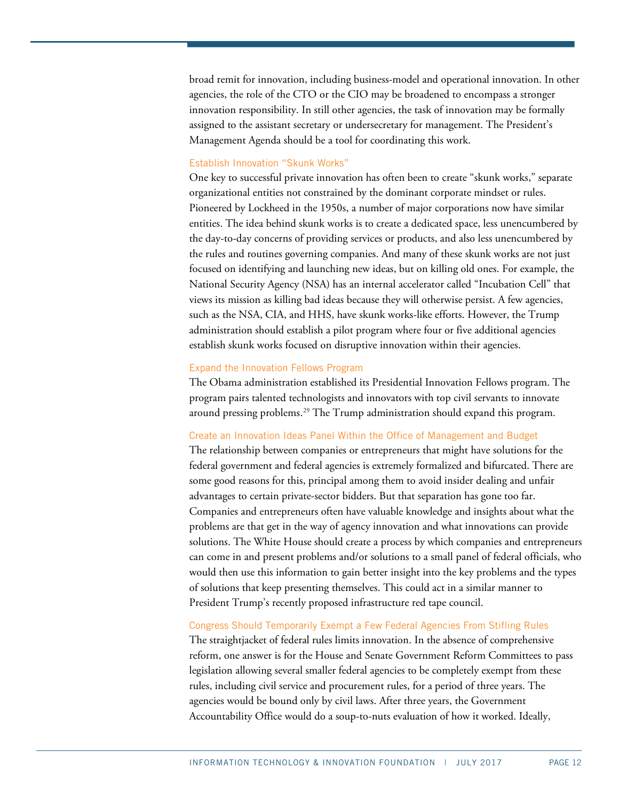broad remit for innovation, including business-model and operational innovation. In other agencies, the role of the CTO or the CIO may be broadened to encompass a stronger innovation responsibility. In still other agencies, the task of innovation may be formally assigned to the assistant secretary or undersecretary for management. The President's Management Agenda should be a tool for coordinating this work.

## Establish Innovation "Skunk Works"

One key to successful private innovation has often been to create "skunk works," separate organizational entities not constrained by the dominant corporate mindset or rules. Pioneered by Lockheed in the 1950s, a number of major corporations now have similar entities. The idea behind skunk works is to create a dedicated space, less unencumbered by the day-to-day concerns of providing services or products, and also less unencumbered by the rules and routines governing companies. And many of these skunk works are not just focused on identifying and launching new ideas, but on killing old ones. For example, the National Security Agency (NSA) has an internal accelerator called "Incubation Cell" that views its mission as killing bad ideas because they will otherwise persist. A few agencies, such as the NSA, CIA, and HHS, have skunk works-like efforts. However, the Trump administration should establish a pilot program where four or five additional agencies establish skunk works focused on disruptive innovation within their agencies.

#### Expand the Innovation Fellows Program

The Obama administration established its Presidential Innovation Fellows program. The program pairs talented technologists and innovators with top civil servants to innovate around pressing problems.<sup>[29](#page-23-14)</sup> The Trump administration should expand this program.

#### Create an Innovation Ideas Panel Within the Office of Management and Budget

The relationship between companies or entrepreneurs that might have solutions for the federal government and federal agencies is extremely formalized and bifurcated. There are some good reasons for this, principal among them to avoid insider dealing and unfair advantages to certain private-sector bidders. But that separation has gone too far. Companies and entrepreneurs often have valuable knowledge and insights about what the problems are that get in the way of agency innovation and what innovations can provide solutions. The White House should create a process by which companies and entrepreneurs can come in and present problems and/or solutions to a small panel of federal officials, who would then use this information to gain better insight into the key problems and the types of solutions that keep presenting themselves. This could act in a similar manner to President Trump's recently proposed infrastructure red tape council.

## Congress Should Temporarily Exempt a Few Federal Agencies From Stifling Rules

The straightjacket of federal rules limits innovation. In the absence of comprehensive reform, one answer is for the House and Senate Government Reform Committees to pass legislation allowing several smaller federal agencies to be completely exempt from these rules, including civil service and procurement rules, for a period of three years. The agencies would be bound only by civil laws. After three years, the Government Accountability Office would do a soup-to-nuts evaluation of how it worked. Ideally,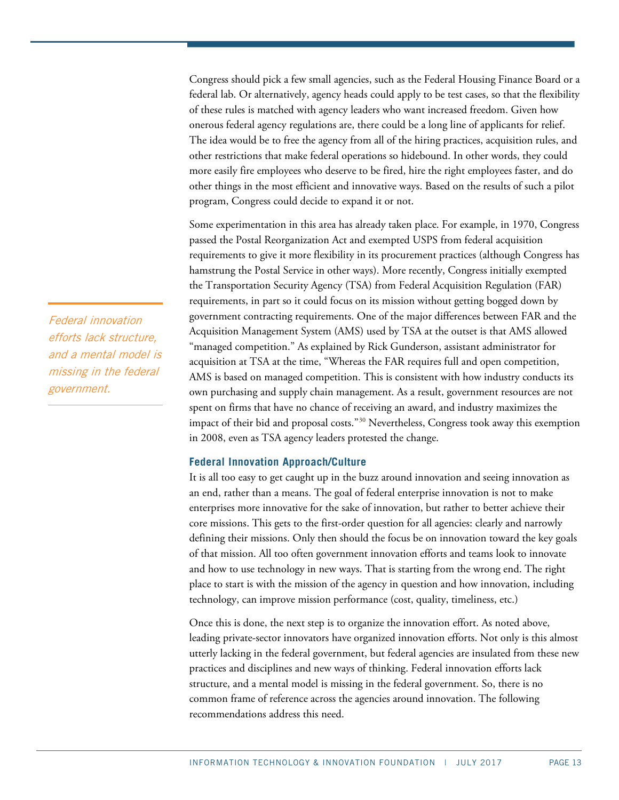Congress should pick a few small agencies, such as the Federal Housing Finance Board or a federal lab. Or alternatively, agency heads could apply to be test cases, so that the flexibility of these rules is matched with agency leaders who want increased freedom. Given how onerous federal agency regulations are, there could be a long line of applicants for relief. The idea would be to free the agency from all of the hiring practices, acquisition rules, and other restrictions that make federal operations so hidebound. In other words, they could more easily fire employees who deserve to be fired, hire the right employees faster, and do other things in the most efficient and innovative ways. Based on the results of such a pilot program, Congress could decide to expand it or not.

Some experimentation in this area has already taken place. For example, in 1970, Congress passed the Postal Reorganization Act and exempted USPS from federal acquisition requirements to [give it more flexibility in its procurement practices](http://www.uspsoig.gov/FOIA_files/CA-AR-10-005.pdf) (although Congress has [hamstrung](http://www.innovationfiles.org/stick-to-the-mail-postal-reform-means-radical-cost-cutting-not-product-innovation/) the Postal Service in other ways). More recently, Congress initially [exempted](http://fcw.com/articles/2007/08/20/tsa-could-lose-far-exemption.aspx)  the Transportation Security Agency (TSA) [from Federal Acquisition Regulation \(FAR\)](http://fcw.com/articles/2007/08/20/tsa-could-lose-far-exemption.aspx) [requirements,](http://fcw.com/articles/2007/08/20/tsa-could-lose-far-exemption.aspx) in part so it could focus on its mission without getting bogged down by government contracting requirements. One of the major differences between FAR and the Acquisition Management System (AMS) used by TSA at the outset is that AMS allowed "managed competition." As explained by Rick Gunderson, [assistant administrator for](http://www.gpo.gov/fdsys/pkg/CHRG-110hhrg48960/html/CHRG-110hhrg48960.htm)  [acquisition at TSA](http://www.gpo.gov/fdsys/pkg/CHRG-110hhrg48960/html/CHRG-110hhrg48960.htm) at the time, "Whereas the FAR requires full and open competition, AMS is based on managed competition. This is consistent with how industry conducts its own purchasing and supply chain management. As a result, government resources are not spent on firms that have no chance of receiving an award, and industry maximizes the impact of their bid and proposal costs."[30](#page-23-15) Nevertheless, Congress [took away this exemption](http://fcw.com/articles/2008/05/27/tsa-to-follow-far-and-dhs-acquisition-regs.aspx) in 2008, even as TSA agency leaders protested the change.

## **Federal Innovation Approach/Culture**

It is all too easy to get caught up in the buzz around innovation and seeing innovation as an end, rather than a means. The goal of federal enterprise innovation is not to make enterprises more innovative for the sake of innovation, but rather to better achieve their core missions. This gets to the first-order question for all agencies: clearly and narrowly defining their missions. Only then should the focus be on innovation toward the key goals of that mission. All too often government innovation efforts and teams look to innovate and how to use technology in new ways. That is starting from the wrong end. The right place to start is with the mission of the agency in question and how innovation, including technology, can improve mission performance (cost, quality, timeliness, etc.)

Once this is done, the next step is to organize the innovation effort. As noted above, leading private-sector innovators have organized innovation efforts. Not only is this almost utterly lacking in the federal government, but federal agencies are insulated from these new practices and disciplines and new ways of thinking. Federal innovation efforts lack structure, and a mental model is missing in the federal government. So, there is no common frame of reference across the agencies around innovation. The following recommendations address this need.

Federal innovation efforts lack structure, and a mental model is missing in the federal government.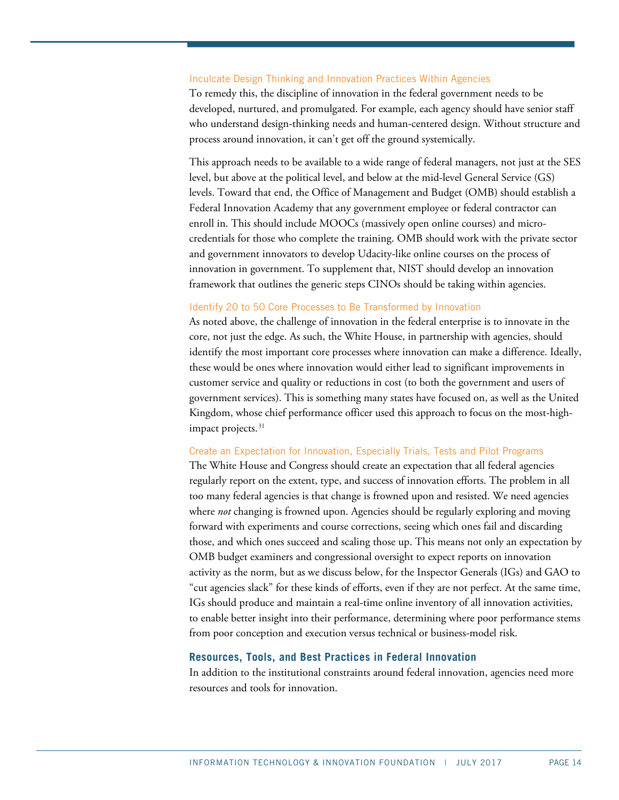#### Inculcate Design Thinking and Innovation Practices Within Agencies

To remedy this, the discipline of innovation in the federal government needs to be developed, nurtured, and promulgated. For example, each agency should have senior staff who understand design-thinking needs and human-centered design. Without structure and process around innovation, it can't get off the ground systemically.

This approach needs to be available to a wide range of federal managers, not just at the SES level, but above at the political level, and below at the mid-level General Service (GS) levels. Toward that end, the Office of Management and Budget (OMB) should establish a Federal Innovation Academy that any government employee or federal contractor can enroll in. This should include MOOCs (massively open online courses) and microcredentials for those who complete the training. OMB should work with the private sector and government innovators to develop Udacity-like online courses on the process of innovation in government. To supplement that, NIST should develop an innovation framework that outlines the generic steps CINOs should be taking within agencies.

#### Identify 20 to 50 Core Processes to Be Transformed by Innovation

As noted above, the challenge of innovation in the federal enterprise is to innovate in the core, not just the edge. As such, the White House, in partnership with agencies, should identify the most important core processes where innovation can make a difference. Ideally, these would be ones where innovation would either lead to significant improvements in customer service and quality or reductions in cost (to both the government and users of government services). This is something many states have focused on, as well as the United Kingdom, whose chief performance officer used this approach to focus on the most-highimpact projects. [31](#page-24-0)

#### Create an Expectation for Innovation, Especially Trials, Tests and Pilot Programs

The White House and Congress should create an expectation that all federal agencies regularly report on the extent, type, and success of innovation efforts. The problem in all too many federal agencies is that change is frowned upon and resisted. We need agencies where *not* changing is frowned upon. Agencies should be regularly exploring and moving forward with experiments and course corrections, seeing which ones fail and discarding those, and which ones succeed and scaling those up. This means not only an expectation by OMB budget examiners and congressional oversight to expect reports on innovation activity as the norm, but as we discuss below, for the Inspector Generals (IGs) and GAO to "cut agencies slack" for these kinds of efforts, even if they are not perfect. At the same time, IGs should produce and maintain a real-time online inventory of all innovation activities, to enable better insight into their performance, determining where poor performance stems from poor conception and execution versus technical or business-model risk.

#### **Resources, Tools, and Best Practices in Federal Innovation**

In addition to the institutional constraints around federal innovation, agencies need more resources and tools for innovation.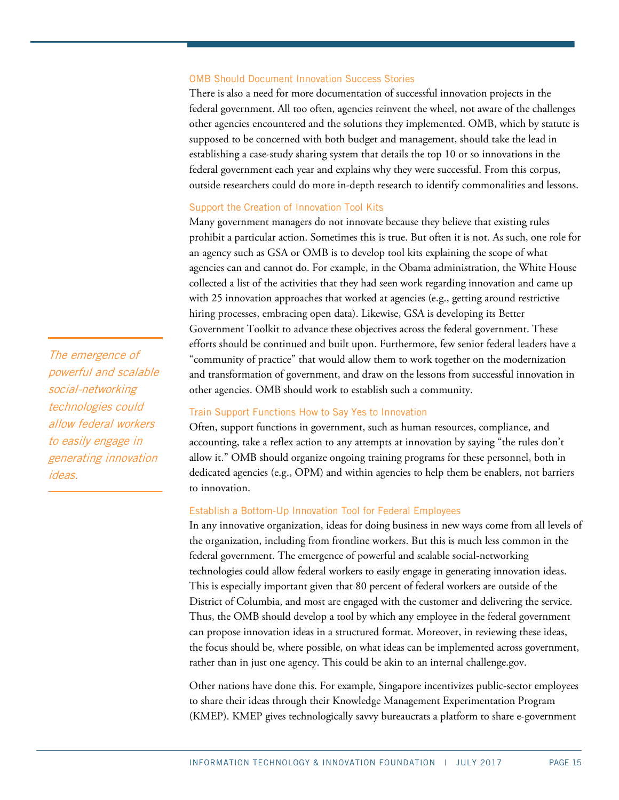#### OMB Should Document Innovation Success Stories

There is also a need for more documentation of successful innovation projects in the federal government. All too often, agencies reinvent the wheel, not aware of the challenges other agencies encountered and the solutions they implemented. OMB, which by statute is supposed to be concerned with both budget and management, should take the lead in establishing a case-study sharing system that details the top 10 or so innovations in the federal government each year and explains why they were successful. From this corpus, outside researchers could do more in-depth research to identify commonalities and lessons.

#### Support the Creation of Innovation Tool Kits

Many government managers do not innovate because they believe that existing rules prohibit a particular action. Sometimes this is true. But often it is not. As such, one role for an agency such as GSA or OMB is to develop tool kits explaining the scope of what agencies can and cannot do. For example, in the Obama administration, the White House collected a list of the activities that they had seen work regarding innovation and came up with 25 innovation approaches that worked at agencies (e.g., getting around restrictive hiring processes, embracing open data). Likewise, GSA is developing its Better Government Toolkit to advance these objectives across the federal government. These efforts should be continued and built upon. Furthermore, few senior federal leaders have a "community of practice" that would allow them to work together on the modernization and transformation of government, and draw on the lessons from successful innovation in other agencies. OMB should work to establish such a community.

#### Train Support Functions How to Say Yes to Innovation

Often, support functions in government, such as human resources, compliance, and accounting, take a reflex action to any attempts at innovation by saying "the rules don't allow it." OMB should organize ongoing training programs for these personnel, both in dedicated agencies (e.g., OPM) and within agencies to help them be enablers, not barriers to innovation.

## Establish a Bottom-Up Innovation Tool for Federal Employees

In any innovative organization, ideas for doing business in new ways come from all levels of the organization, including from frontline workers. But this is much less common in the federal government. The emergence of powerful and scalable social-networking technologies could allow federal workers to easily engage in generating innovation ideas. This is especially important given that 80 percent of federal workers are outside of the District of Columbia, and most are engaged with the customer and delivering the service. Thus, the OMB should develop a tool by which any employee in the federal government can propose innovation ideas in a structured format. Moreover, in reviewing these ideas, the focus should be, where possible, on what ideas can be implemented across government, rather than in just one agency. This could be akin to an internal challenge.gov.

Other nations have done this. For example, Singapore incentivizes public-sector employees to share their ideas through their Knowledge Management Experimentation Program (KMEP). KMEP gives technologically savvy bureaucrats a platform to share e-government

The emergence of powerful and scalable social-networking technologies could allow federal workers to easily engage in generating innovation ideas.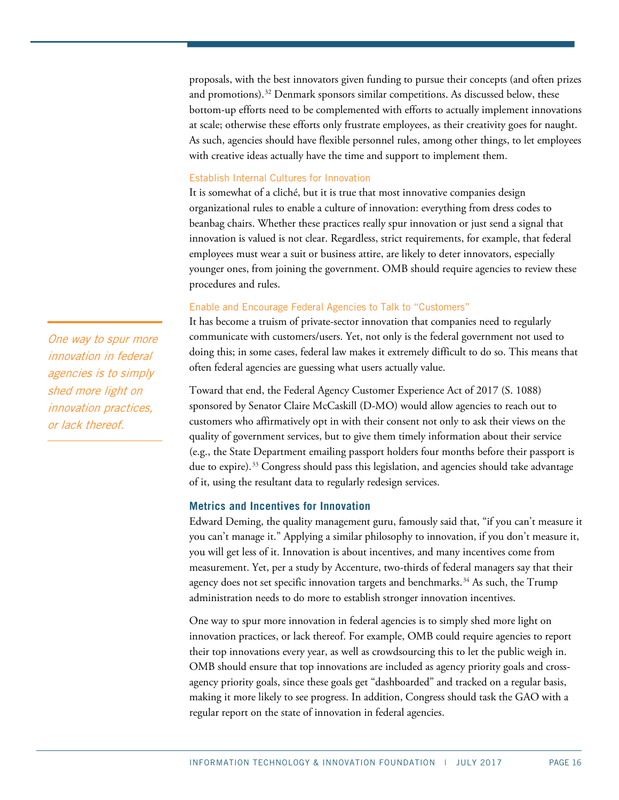proposals, with the best innovators given funding to pursue their concepts (and often prizes and promotions). [32](#page-24-1) Denmark sponsors similar competitions. As discussed below, these bottom-up efforts need to be complemented with efforts to actually implement innovations at scale; otherwise these efforts only frustrate employees, as their creativity goes for naught. As such, agencies should have flexible personnel rules, among other things, to let employees with creative ideas actually have the time and support to implement them.

## Establish Internal Cultures for Innovation

It is somewhat of a cliché, but it is true that most innovative companies design organizational rules to enable a culture of innovation: everything from dress codes to beanbag chairs. Whether these practices really spur innovation or just send a signal that innovation is valued is not clear. Regardless, strict requirements, for example, that federal employees must wear a suit or business attire, are likely to deter innovators, especially younger ones, from joining the government. OMB should require agencies to review these procedures and rules.

## Enable and Encourage Federal Agencies to Talk to "Customers"

It has become a truism of private-sector innovation that companies need to regularly communicate with customers/users. Yet, not only is the federal government not used to doing this; in some cases, federal law makes it extremely difficult to do so. This means that often federal agencies are guessing what users actually value.

Toward that end, the Federal Agency Customer Experience Act of 2017 (S. 1088) sponsored by Senator Claire McCaskill (D-MO) would allow agencies to reach out to customers who affirmatively opt in with their consent not only to ask their views on the quality of government services, but to give them timely information about their service (e.g., the State Department emailing passport holders four months before their passport is due to expire).<sup>[33](#page-24-2)</sup> Congress should pass this legislation, and agencies should take advantage of it, using the resultant data to regularly redesign services.

# **Metrics and Incentives for Innovation**

Edward Deming, the quality management guru, famously said that, "if you can't measure it you can't manage it." Applying a similar philosophy to innovation, if you don't measure it, you will get less of it. Innovation is about incentives, and many incentives come from measurement. Yet, per a study by Accenture, two-thirds of federal managers say that their agency does not set specific innovation targets and benchmarks.<sup>[34](#page-24-3)</sup> As such, the Trump administration needs to do more to establish stronger innovation incentives.

One way to spur more innovation in federal agencies is to simply shed more light on innovation practices, or lack thereof. For example, OMB could require agencies to report their top innovations every year, as well as crowdsourcing this to let the public weigh in. OMB should ensure that top innovations are included as agency priority goals and crossagency priority goals, since these goals get "dashboarded" and tracked on a regular basis, making it more likely to see progress. In addition, Congress should task the GAO with a regular report on the state of innovation in federal agencies.

One way to spur more innovation in federal agencies is to simply shed more light on innovation practices, or lack thereof.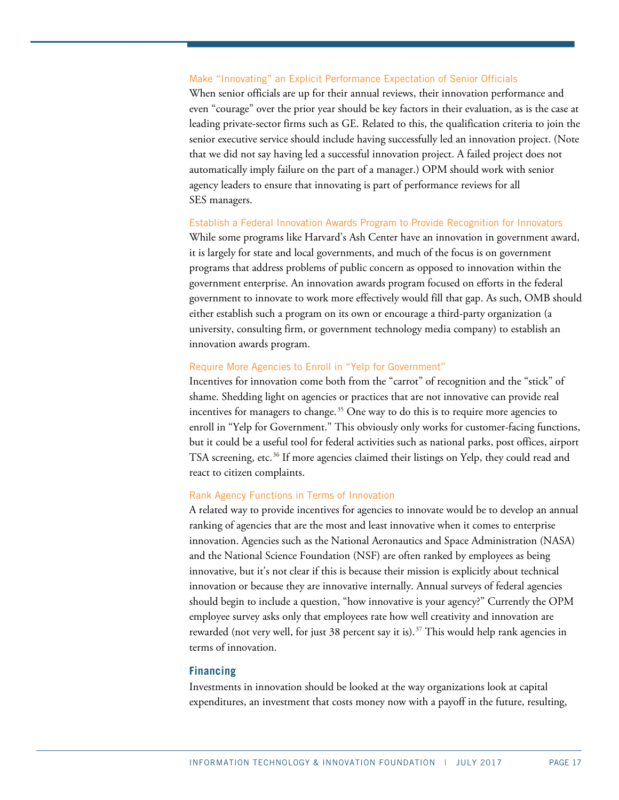## Make "Innovating" an Explicit Performance Expectation of Senior Officials

When senior officials are up for their annual reviews, their innovation performance and even "courage" over the prior year should be key factors in their evaluation, as is the case at leading private-sector firms such as GE. Related to this, the qualification criteria to join the senior executive service should include having successfully led an innovation project. (Note that we did not say having led a successful innovation project. A failed project does not automatically imply failure on the part of a manager.) OPM should work with senior agency leaders to ensure that innovating is part of performance reviews for all SES managers.

#### Establish a Federal Innovation Awards Program to Provide Recognition for Innovators

While some programs like Harvard's Ash Center have an innovation in government award, it is largely for state and local governments, and much of the focus is on government programs that address problems of public concern as opposed to innovation within the government enterprise. An innovation awards program focused on efforts in the federal government to innovate to work more effectively would fill that gap. As such, OMB should either establish such a program on its own or encourage a third-party organization (a university, consulting firm, or government technology media company) to establish an innovation awards program.

## Require More Agencies to Enroll in "Yelp for Government"

Incentives for innovation come both from the "carrot" of recognition and the "stick" of shame. Shedding light on agencies or practices that are not innovative can provide real incentives for managers to change.<sup>[35](#page-24-4)</sup> One way to do this is to require more agencies to enroll in "Yelp for Government." This obviously only works for customer-facing functions, but it could be a useful tool for federal activities such as national parks, post offices, airport TSA screening, etc.<sup>[36](#page-24-5)</sup> If more agencies claimed their listings on Yelp, they could read and react to citizen complaints.

#### Rank Agency Functions in Terms of Innovation

A related way to provide incentives for agencies to innovate would be to develop an annual ranking of agencies that are the most and least innovative when it comes to enterprise innovation. Agencies such as the National Aeronautics and Space Administration (NASA) and the National Science Foundation (NSF) are often ranked by employees as being innovative, but it's not clear if this is because their mission is explicitly about technical innovation or because they are innovative internally. Annual surveys of federal agencies should begin to include a question, "how innovative is your agency?" Currently the OPM employee survey asks only that employees rate how well creativity and innovation are rewarded (not very well, for just 38 percent say it is).<sup>[37](#page-24-6)</sup> This would help rank agencies in terms of innovation.

#### **Financing**

Investments in innovation should be looked at the way organizations look at capital expenditures, an investment that costs money now with a payoff in the future, resulting,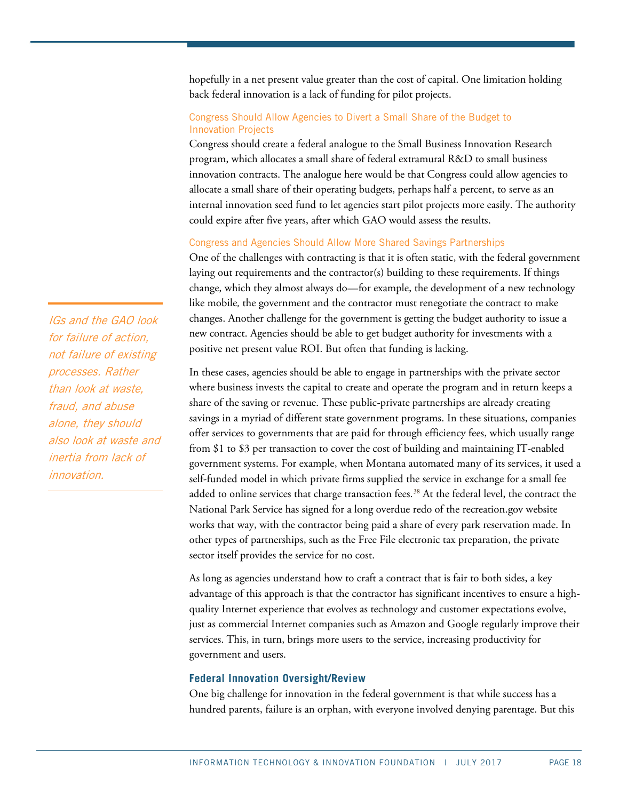hopefully in a net present value greater than the cost of capital. One limitation holding back federal innovation is a lack of funding for pilot projects.

# Congress Should Allow Agencies to Divert a Small Share of the Budget to Innovation Projects

Congress should create a federal analogue to the Small Business Innovation Research program, which allocates a small share of federal extramural R&D to small business innovation contracts. The analogue here would be that Congress could allow agencies to allocate a small share of their operating budgets, perhaps half a percent, to serve as an internal innovation seed fund to let agencies start pilot projects more easily. The authority could expire after five years, after which GAO would assess the results.

# Congress and Agencies Should Allow More Shared Savings Partnerships

One of the challenges with contracting is that it is often static, with the federal government laying out requirements and the contractor(s) building to these requirements. If things change, which they almost always do—for example, the development of a new technology like mobile, the government and the contractor must renegotiate the contract to make changes. Another challenge for the government is getting the budget authority to issue a new contract. Agencies should be able to get budget authority for investments with a positive net present value ROI. But often that funding is lacking.

In these cases, agencies should be able to engage in partnerships with the private sector where business invests the capital to create and operate the program and in return keeps a share of the saving or revenue. These public-private partnerships are already creating savings in a myriad of different state government programs. In these situations, companies offer services to governments that are paid for through efficiency fees, which usually range from \$1 to \$3 per transaction to cover the cost of building and maintaining IT-enabled government systems. For example, when Montana automated many of its services, it used a self-funded model in which private firms supplied the service in exchange for a small fee added to online services that charge transaction fees.<sup>[38](#page-24-7)</sup> At the federal level, the contract the National Park Service has signed for a long overdue redo of the recreation.gov website works that way, with the contractor being paid a share of every park reservation made. In other types of partnerships, such as the Free File electronic tax preparation, the private sector itself provides the service for no cost.

As long as agencies understand how to craft a contract that is fair to both sides, a key advantage of this approach is that the contractor has significant incentives to ensure a highquality Internet experience that evolves as technology and customer expectations evolve, just as commercial Internet companies such as Amazon and Google regularly improve their services. This, in turn, brings more users to the service, increasing productivity for government and users.

# **Federal Innovation Oversight/Review**

One big challenge for innovation in the federal government is that while success has a hundred parents, failure is an orphan, with everyone involved denying parentage. But this

IGs and the GAO look for failure of action, not failure of existing processes. Rather than look at waste, fraud, and abuse alone, they should also look at waste and inertia from lack of innovation.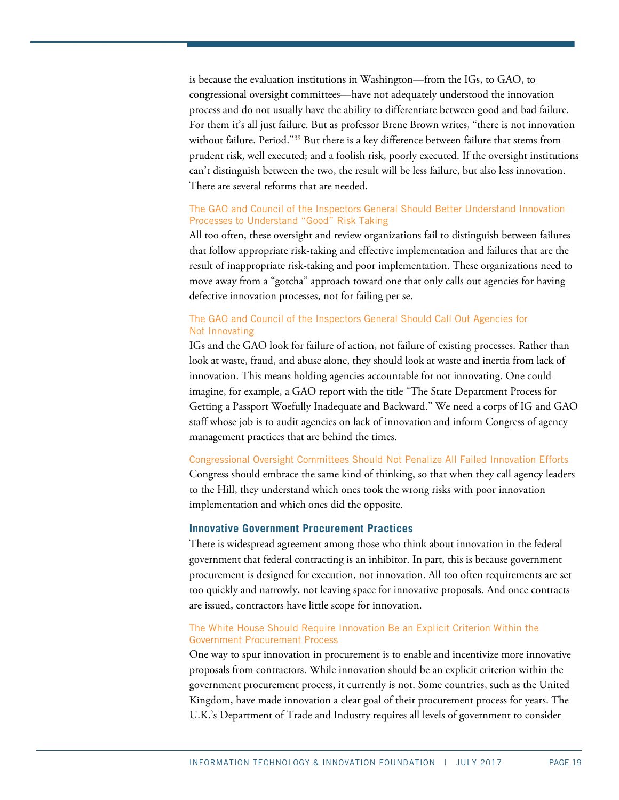is because the evaluation institutions in Washington—from the IGs, to GAO, to congressional oversight committees—have not adequately understood the innovation process and do not usually have the ability to differentiate between good and bad failure. For them it's all just failure. But as professor Brene Brown writes, "there is not innovation without failure. Period."[39](#page-24-8) But there is a key difference between failure that stems from prudent risk, well executed; and a foolish risk, poorly executed. If the oversight institutions can't distinguish between the two, the result will be less failure, but also less innovation. There are several reforms that are needed.

# The GAO and [Council of the Inspectors General](https://www.ignet.gov/) Should Better Understand Innovation Processes to Understand "Good" Risk Taking

All too often, these oversight and review organizations fail to distinguish between failures that follow appropriate risk-taking and effective implementation and failures that are the result of inappropriate risk-taking and poor implementation. These organizations need to move away from a "gotcha" approach toward one that only calls out agencies for having defective innovation processes, not for failing per se.

# The GAO and [Council of the Inspectors General](https://www.ignet.gov/) Should Call Out Agencies for Not Innovating

IGs and the GAO look for failure of action, not failure of existing processes. Rather than look at waste, fraud, and abuse alone, they should look at waste and inertia from lack of innovation. This means holding agencies accountable for not innovating. One could imagine, for example, a GAO report with the title "The State Department Process for Getting a Passport Woefully Inadequate and Backward." We need a corps of IG and GAO staff whose job is to audit agencies on lack of innovation and inform Congress of agency management practices that are behind the times.

# Congressional Oversight Committees Should Not Penalize All Failed Innovation Efforts

Congress should embrace the same kind of thinking, so that when they call agency leaders to the Hill, they understand which ones took the wrong risks with poor innovation implementation and which ones did the opposite.

# **Innovative Government Procurement Practices**

There is widespread agreement among those who think about innovation in the federal government that federal contracting is an inhibitor. In part, this is because government procurement is designed for execution, not innovation. All too often requirements are set too quickly and narrowly, not leaving space for innovative proposals. And once contracts are issued, contractors have little scope for innovation.

## The White House Should Require Innovation Be an Explicit Criterion Within the Government Procurement Process

One way to spur innovation in procurement is to enable and incentivize more innovative proposals from contractors. While innovation should be an explicit criterion within the government procurement process, it currently is not. Some countries, such as the United Kingdom, have made innovation a clear goal of their procurement process for years. The U.K.'s Department of Trade and Industry requires all levels of government to consider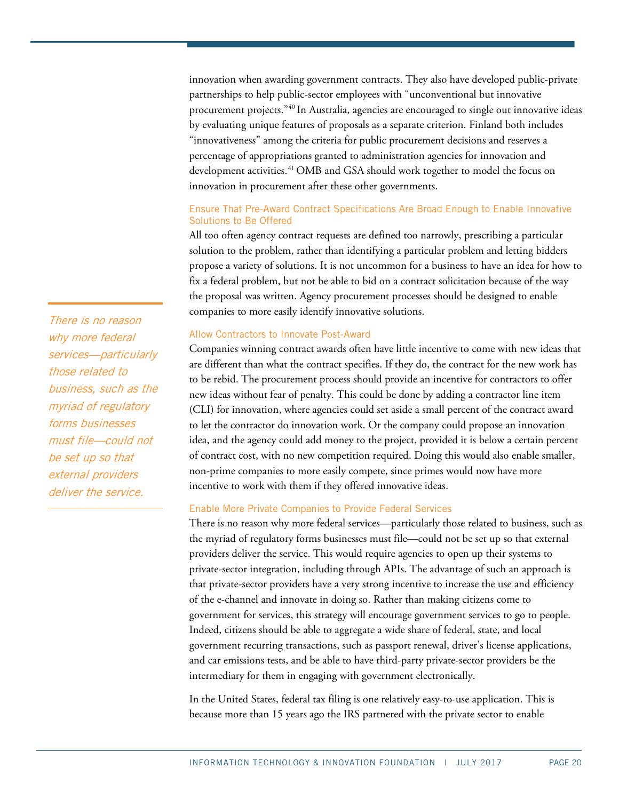innovation when awarding government contracts. They also have developed public-private partnerships to help public-sector employees with "unconventional but innovative procurement projects.["40](#page-24-9) In Australia, agencies are encouraged to single out innovative ideas by evaluating unique features of proposals as a separate criterion. Finland both includes "innovativeness" among the criteria for public procurement decisions and reserves a percentage of appropriations granted to administration agencies for innovation and development activities.<sup>[41](#page-24-10)</sup> OMB and GSA should work together to model the focus on innovation in procurement after these other governments.

# Ensure That Pre-Award Contract Specifications Are Broad Enough to Enable Innovative Solutions to Be Offered

All too often agency contract requests are defined too narrowly, prescribing a particular solution to the problem, rather than identifying a particular problem and letting bidders propose a variety of solutions. It is not uncommon for a business to have an idea for how to fix a federal problem, but not be able to bid on a contract solicitation because of the way the proposal was written. Agency procurement processes should be designed to enable companies to more easily identify innovative solutions.

# Allow Contractors to Innovate Post-Award

Companies winning contract awards often have little incentive to come with new ideas that are different than what the contract specifies. If they do, the contract for the new work has to be rebid. The procurement process should provide an incentive for contractors to offer new ideas without fear of penalty. This could be done by adding a contractor line item (CLI) for innovation, where agencies could set aside a small percent of the contract award to let the contractor do innovation work. Or the company could propose an innovation idea, and the agency could add money to the project, provided it is below a certain percent of contract cost, with no new competition required. Doing this would also enable smaller, non-prime companies to more easily compete, since primes would now have more incentive to work with them if they offered innovative ideas.

#### Enable More Private Companies to Provide Federal Services

There is no reason why more federal services—particularly those related to business, such as the myriad of regulatory forms businesses must file—could not be set up so that external providers deliver the service. This would require agencies to open up their systems to private-sector integration, including through APIs. The advantage of such an approach is that private-sector providers have a very strong incentive to increase the use and efficiency of the e-channel and innovate in doing so. Rather than making citizens come to government for services, this strategy will encourage government services to go to people. Indeed, citizens should be able to aggregate a wide share of federal, state, and local government recurring transactions, such as passport renewal, driver's license applications, and car emissions tests, and be able to have third-party private-sector providers be the intermediary for them in engaging with government electronically.

In the United States, federal tax filing is one relatively easy-to-use application. This is because more than 15 years ago the IRS partnered with the private sector to enable

There is no reason why more federal services—particularly those related to business, such as the myriad of regulatory forms businesses must file—could not be set up so that external providers deliver the service.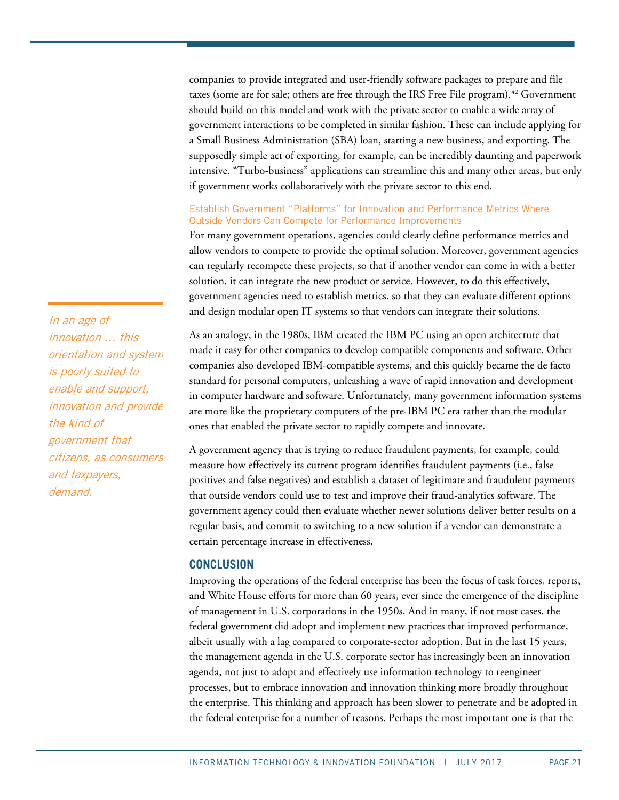companies to provide integrated and user-friendly software packages to prepare and file taxes (some are for sale; others are free through the IRS Free File program).<sup>[42](#page-24-11)</sup> Government should build on this model and work with the private sector to enable a wide array of government interactions to be completed in similar fashion. These can include applying for a Small Business Administration (SBA) loan, starting a new business, and exporting. The supposedly simple act of exporting, for example, can be incredibly daunting and paperwork intensive. "Turbo-business" applications can streamline this and many other areas, but only if government works collaboratively with the private sector to this end.

# Establish Government "Platforms" for Innovation and Performance Metrics Where Outside Vendors Can Compete for Performance Improvements

For many government operations, agencies could clearly define performance metrics and allow vendors to compete to provide the optimal solution. Moreover, government agencies can regularly recompete these projects, so that if another vendor can come in with a better solution, it can integrate the new product or service. However, to do this effectively, government agencies need to establish metrics, so that they can evaluate different options and design modular open IT systems so that vendors can integrate their solutions.

As an analogy, in the 1980s, IBM created the IBM PC using an open architecture that made it easy for other companies to develop compatible components and software. Other companies also developed IBM-compatible systems, and this quickly became the de facto standard for personal computers, unleashing a wave of rapid innovation and development in computer hardware and software. Unfortunately, many government information systems are more like the proprietary computers of the pre-IBM PC era rather than the modular ones that enabled the private sector to rapidly compete and innovate.

A government agency that is trying to reduce fraudulent payments, for example, could measure how effectively its current program identifies fraudulent payments (i.e., false positives and false negatives) and establish a dataset of legitimate and fraudulent payments that outside vendors could use to test and improve their fraud-analytics software. The government agency could then evaluate whether newer solutions deliver better results on a regular basis, and commit to switching to a new solution if a vendor can demonstrate a certain percentage increase in effectiveness.

# **CONCLUSION**

Improving the operations of the federal enterprise has been the focus of task forces, reports, and White House efforts for more than 60 years, ever since the emergence of the discipline of management in U.S. corporations in the 1950s. And in many, if not most cases, the federal government did adopt and implement new practices that improved performance, albeit usually with a lag compared to corporate-sector adoption. But in the last 15 years, the management agenda in the U.S. corporate sector has increasingly been an innovation agenda, not just to adopt and effectively use information technology to reengineer processes, but to embrace innovation and innovation thinking more broadly throughout the enterprise. This thinking and approach has been slower to penetrate and be adopted in the federal enterprise for a number of reasons. Perhaps the most important one is that the

In an age of innovation … this orientation and system is poorly suited to enable and support, innovation and provide the kind of government that citizens, as consumers and taxpayers, demand.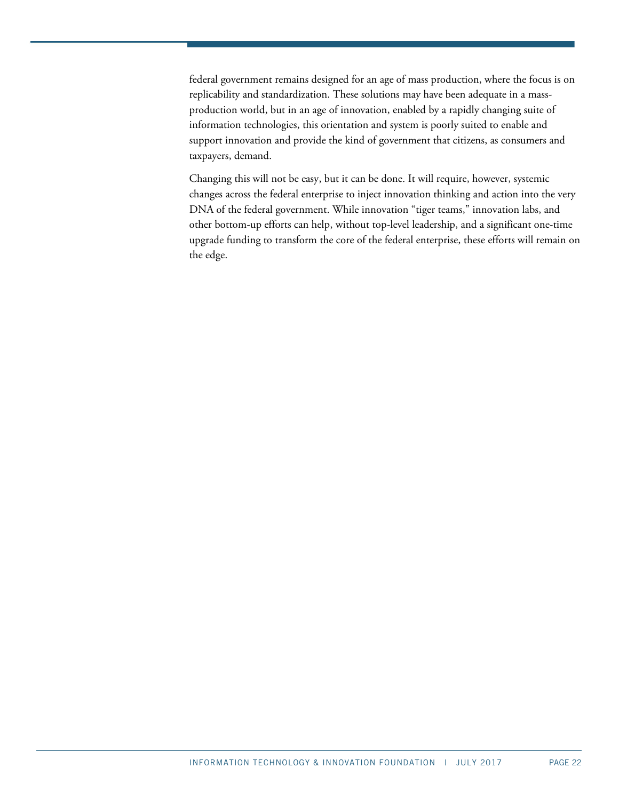federal government remains designed for an age of mass production, where the focus is on replicability and standardization. These solutions may have been adequate in a massproduction world, but in an age of innovation, enabled by a rapidly changing suite of information technologies, this orientation and system is poorly suited to enable and support innovation and provide the kind of government that citizens, as consumers and taxpayers, demand.

Changing this will not be easy, but it can be done. It will require, however, systemic changes across the federal enterprise to inject innovation thinking and action into the very DNA of the federal government. While innovation "tiger teams," innovation labs, and other bottom-up efforts can help, without top-level leadership, and a significant one-time upgrade funding to transform the core of the federal enterprise, these efforts will remain on the edge.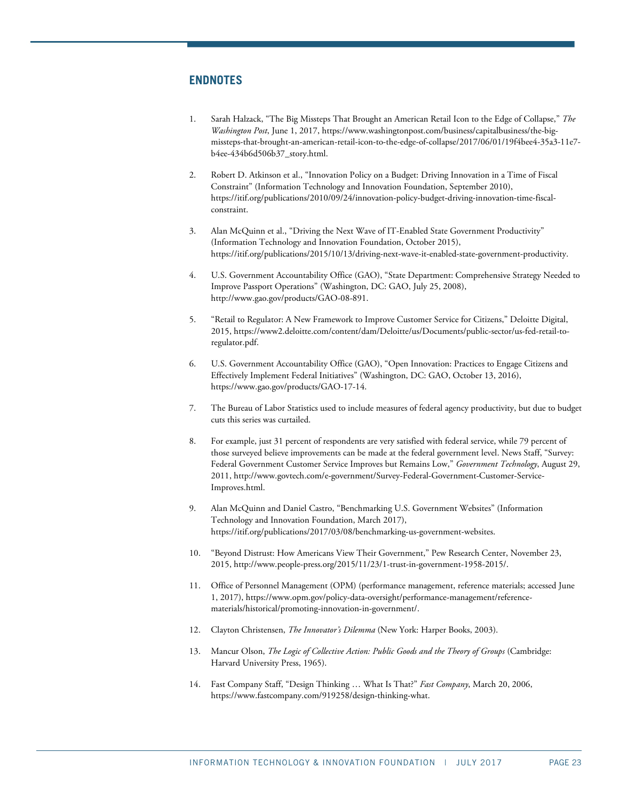# **ENDNOTES**

- <span id="page-22-0"></span>1. Sarah Halzack, "The Big Missteps That Brought an American Retail Icon to the Edge of Collapse," *The Washington Post*, June 1, 2017[, https://www.washingtonpost.com/business/capitalbusiness/the-big](https://www.washingtonpost.com/business/capitalbusiness/the-big-missteps-that-brought-an-american-retail-icon-to-the-edge-of-collapse/2017/06/01/19f4bee4-35a3-11e7-b4ee-434b6d506b37_story.html)[missteps-that-brought-an-american-retail-icon-to-the-edge-of-collapse/2017/06/01/19f4bee4-35a3-11e7](https://www.washingtonpost.com/business/capitalbusiness/the-big-missteps-that-brought-an-american-retail-icon-to-the-edge-of-collapse/2017/06/01/19f4bee4-35a3-11e7-b4ee-434b6d506b37_story.html) [b4ee-434b6d506b37\\_story.html.](https://www.washingtonpost.com/business/capitalbusiness/the-big-missteps-that-brought-an-american-retail-icon-to-the-edge-of-collapse/2017/06/01/19f4bee4-35a3-11e7-b4ee-434b6d506b37_story.html)
- <span id="page-22-1"></span>2. Robert D. Atkinson et al., "Innovation Policy on a Budget: Driving Innovation in a Time of Fiscal Constraint" (Information Technology and Innovation Foundation, September 2010), https://itif.org/publications/2010/09/24/innovation-policy-budget-driving-innovation-time-fiscalconstraint.
- <span id="page-22-2"></span>3. Alan McQuinn et al., "Driving the Next Wave of IT-Enabled State Government Productivity" (Information Technology and Innovation Foundation, October 2015), [https://itif.org/publications/2015/10/13/driving-next-wave-it-enabled-state-government-productivity.](https://itif.org/publications/2015/10/13/driving-next-wave-it-enabled-state-government-productivity)
- <span id="page-22-3"></span>4. U.S. Government Accountability Office (GAO), "State Department: Comprehensive Strategy Needed to Improve Passport Operations" (Washington, DC: GAO, July 25, 2008), [http://www.gao.gov/products/GAO-08-891.](http://www.gao.gov/products/GAO-08-891)
- <span id="page-22-4"></span>5. "Retail to Regulator: A New Framework to Improve Customer Service for Citizens," Deloitte Digital, 2015, https://www2.deloitte.com/content/dam/Deloitte/us/Documents/public-sector/us-fed-retail-toregulator.pdf.
- <span id="page-22-5"></span>6. U.S. Government Accountability Office (GAO), "Open Innovation: Practices to Engage Citizens and Effectively Implement Federal Initiatives" (Washington, DC: GAO, October 13, 2016), https://www.gao.gov/products/GAO-17-14.
- <span id="page-22-6"></span>7. The Bureau of Labor Statistics used to include measures of federal agency productivity, but due to budget cuts this series was curtailed.
- <span id="page-22-7"></span>8. For example, just 31 percent of respondents are very satisfied with federal service, while 79 percent of those surveyed believe improvements can be made at the federal government level. News Staff, "Survey: Federal Government Customer Service Improves but Remains Low," *Government Technology*, August 29, 2011[, http://www.govtech.com/e-government/Survey-Federal-Government-Customer-Service-](http://www.govtech.com/e-government/Survey-Federal-Government-Customer-Service-Improves.html)[Improves.html.](http://www.govtech.com/e-government/Survey-Federal-Government-Customer-Service-Improves.html)
- <span id="page-22-8"></span>9. Alan McQuinn and Daniel Castro, "Benchmarking U.S. Government Websites" (Information Technology and Innovation Foundation, March 2017), [https://itif.org/publications/2017/03/08/benchmarking-us-government-websites.](https://itif.org/publications/2017/03/08/benchmarking-us-government-websites)
- <span id="page-22-9"></span>10. "Beyond Distrust: How Americans View Their Government," Pew Research Center, November 23, 2015, http://www.people-press.org/2015/11/23/1-trust-in-government-1958-2015/.
- <span id="page-22-10"></span>11. Office of Personnel Management (OPM) (performance management, reference materials; accessed June 1, 2017), https://www.opm.gov/policy-data-oversight/performance-management/referencematerials/historical/promoting-innovation-in-government/.
- <span id="page-22-11"></span>12. Clayton Christensen, *The Innovator's Dilemma* (New York: Harper Books, 2003).
- <span id="page-22-12"></span>13. Mancur Olson, *The Logic of Collective Action: Public Goods and the Theory of Groups* (Cambridge: Harvard University Press, 1965).
- <span id="page-22-13"></span>14. Fast Company Staff, "Design Thinking … What Is That?" *Fast Company*, March 20, 2006, [https://www.fastcompany.com/919258/design-thinking-what.](https://www.fastcompany.com/919258/design-thinking-what)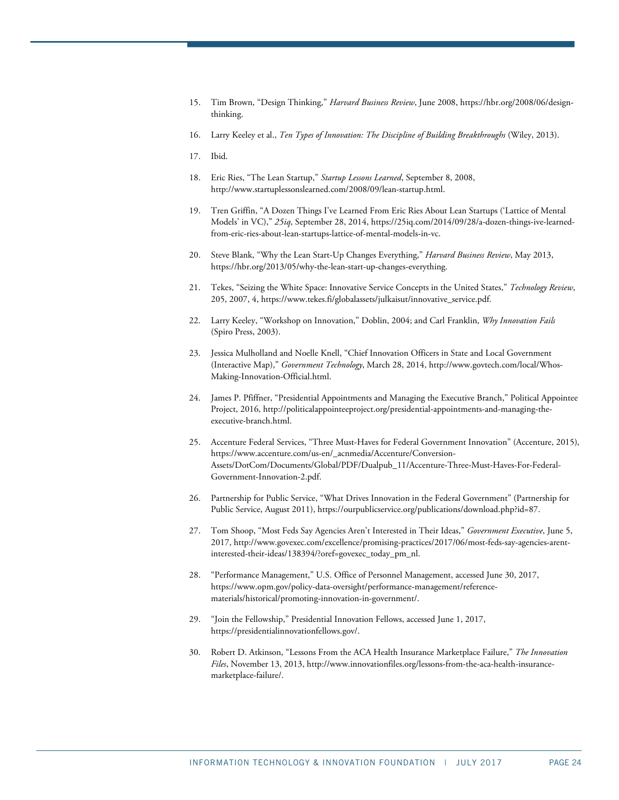- <span id="page-23-0"></span>15. Tim Brown, "Design Thinking," *Harvard Business Review*, June 2008[, https://hbr.org/2008/06/design](https://hbr.org/2008/06/design-thinking)[thinking.](https://hbr.org/2008/06/design-thinking)
- <span id="page-23-1"></span>16. Larry Keeley et al., *Ten Types of Innovation: The Discipline of Building Breakthroughs* (Wiley, 2013).
- <span id="page-23-2"></span>17. Ibid.
- <span id="page-23-3"></span>18. Eric Ries, "The Lean Startup," *Startup Lessons Learned*, September 8, 2008, [http://www.startuplessonslearned.com/2008/09/lean-startup.html.](http://www.startuplessonslearned.com/2008/09/lean-startup.html)
- <span id="page-23-4"></span>19. Tren Griffin, "A Dozen Things I've Learned From Eric Ries About Lean Startups ('Lattice of Mental Models' in VC)," *25iq*, September 28, 2014, [https://25iq.com/2014/09/28/a-dozen-things-ive-learned](https://25iq.com/2014/09/28/a-dozen-things-ive-learned-from-eric-ries-about-lean-startups-lattice-of-mental-models-in-vc)[from-eric-ries-about-lean-startups-lattice-of-mental-models-in-vc.](https://25iq.com/2014/09/28/a-dozen-things-ive-learned-from-eric-ries-about-lean-startups-lattice-of-mental-models-in-vc)
- <span id="page-23-5"></span>20. Steve Blank, "Why the Lean Start-Up Changes Everything," *Harvard Business Review*, May 2013, [https://hbr.org/2013/05/why-the-lean-start-up-changes-everything.](https://hbr.org/2013/05/why-the-lean-start-up-changes-everything)
- <span id="page-23-6"></span>21. Tekes, "Seizing the White Space: Innovative Service Concepts in the United States," *Technology Review*, 205, 2007, 4[, https://www.tekes.fi/globalassets/julkaisut/innovative\\_service.pdf.](https://www.tekes.fi/globalassets/julkaisut/innovative_service.pdf)
- <span id="page-23-7"></span>22. Larry Keeley, "Workshop on Innovation," Doblin, 2004; and Carl Franklin, *Why Innovation Fails*  (Spiro Press, 2003).
- <span id="page-23-8"></span>23. Jessica Mulholland and Noelle Knell, "Chief Innovation Officers in State and Local Government (Interactive Map)," *Government Technology*, March 28, 2014[, http://www.govtech.com/local/Whos-](http://www.govtech.com/local/Whos-Making-Innovation-Official.html)[Making-Innovation-Official.html.](http://www.govtech.com/local/Whos-Making-Innovation-Official.html)
- <span id="page-23-9"></span>24. James P. Pfiffner, "Presidential Appointments and Managing the Executive Branch," Political Appointee Project, 2016, http://politicalappointeeproject.org/presidential-appointments-and-managing-theexecutive-branch.html.
- <span id="page-23-10"></span>25. Accenture Federal Services, "Three Must-Haves for Federal Government Innovation" (Accenture, 2015), https://www.accenture.com/us-en/\_acnmedia/Accenture/Conversion-Assets/DotCom/Documents/Global/PDF/Dualpub\_11/Accenture-Three-Must-Haves-For-Federal-Government-Innovation-2.pdf.
- <span id="page-23-11"></span>26. Partnership for Public Service, "What Drives Innovation in the Federal Government" (Partnership for Public Service, August 2011), https://ourpublicservice.org/publications/download.php?id=87.
- <span id="page-23-12"></span>27. Tom Shoop, "Most Feds Say Agencies Aren't Interested in Their Ideas," *Government Executive*, June 5, 2017[, http://www.govexec.com/excellence/promising-practices/2017/06/most-feds-say-agencies-arent](http://www.govexec.com/excellence/promising-practices/2017/06/most-feds-say-agencies-arent-interested-their-ideas/138394/?oref=govexec_today_pm_nl)[interested-their-ideas/138394/?oref=govexec\\_today\\_pm\\_nl.](http://www.govexec.com/excellence/promising-practices/2017/06/most-feds-say-agencies-arent-interested-their-ideas/138394/?oref=govexec_today_pm_nl)
- <span id="page-23-13"></span>28. "Performance Management," U.S. Office of Personnel Management, accessed June 30, 2017, [https://www.opm.gov/policy-data-oversight/performance-management/reference](https://www.opm.gov/policy-data-oversight/performance-management/reference-materials/historical/promoting-innovation-in-government/)[materials/historical/promoting-innovation-in-government/.](https://www.opm.gov/policy-data-oversight/performance-management/reference-materials/historical/promoting-innovation-in-government/)
- <span id="page-23-14"></span>29. "Join the Fellowship," Presidential Innovation Fellows, accessed June 1, 2017, https://presidentialinnovationfellows.gov/.
- <span id="page-23-15"></span>30. Robert D. Atkinson, "Lessons From the ACA Health Insurance Marketplace Failure," *The Innovation Files*, November 13, 2013[, http://www.innovationfiles.org/lessons-from-the-aca-health-insurance](http://www.innovationfiles.org/lessons-from-the-aca-health-insurance-marketplace-failure/)[marketplace-failure/.](http://www.innovationfiles.org/lessons-from-the-aca-health-insurance-marketplace-failure/)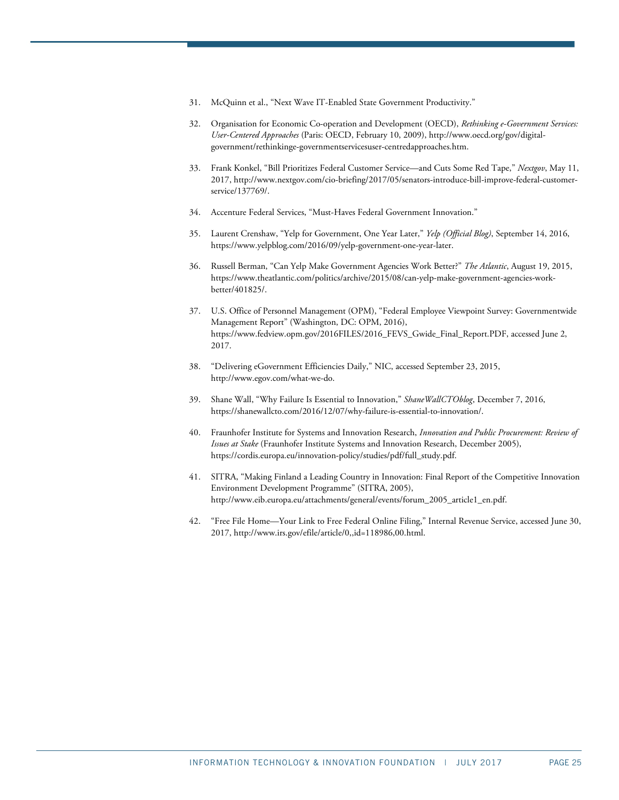- <span id="page-24-0"></span>31. McQuinn et al., "Next Wave IT-Enabled State Government Productivity."
- <span id="page-24-1"></span>32. Organisation for Economic Co-operation and Development (OECD), *Rethinking e-Government Services: User-Centered Approaches* (Paris: OECD, February 10, 2009), http://www.oecd.org/gov/digitalgovernment/rethinkinge-governmentservicesuser-centredapproaches.htm.
- <span id="page-24-2"></span>33. Frank Konkel, "Bill Prioritizes Federal Customer Service—and Cuts Some Red Tape," *Nextgov*, May 11, 2017[, http://www.nextgov.com/cio-briefing/2017/05/senators-introduce-bill-improve-federal-customer](http://www.nextgov.com/cio-briefing/2017/05/senators-introduce-bill-improve-federal-customer-service/137769/)[service/137769/.](http://www.nextgov.com/cio-briefing/2017/05/senators-introduce-bill-improve-federal-customer-service/137769/)
- <span id="page-24-3"></span>34. Accenture Federal Services, "Must-Haves Federal Government Innovation."
- <span id="page-24-4"></span>35. Laurent Crenshaw, "Yelp for Government, One Year Later," *Yelp (Official Blog)*, September 14, 2016, [https://www.yelpblog.com/2016/09/yelp-government-one-year-later.](https://www.yelpblog.com/2016/09/yelp-government-one-year-later)
- <span id="page-24-5"></span>36. Russell Berman, "Can Yelp Make Government Agencies Work Better?" *The Atlantic*, August 19, 2015, [https://www.theatlantic.com/politics/archive/2015/08/can-yelp-make-government-agencies-work](https://www.theatlantic.com/politics/archive/2015/08/can-yelp-make-government-agencies-work-better/401825/)[better/401825/.](https://www.theatlantic.com/politics/archive/2015/08/can-yelp-make-government-agencies-work-better/401825/)
- <span id="page-24-6"></span>37. U.S. Office of Personnel Management (OPM), "Federal Employee Viewpoint Survey: Governmentwide Management Report" (Washington, DC: OPM, 2016), https://www.fedview.opm.gov/2016FILES/2016\_FEVS\_Gwide\_Final\_Report.PDF, accessed June 2, 2017.
- <span id="page-24-7"></span>38. "Delivering eGovernment Efficiencies Daily," NIC, accessed September 23, 2015, [http://www.egov.com/what-we-do.](http://www.egov.com/what-we-do)
- <span id="page-24-8"></span>39. Shane Wall, "Why Failure Is Essential to Innovation," *ShaneWallCTOblog*, December 7, 2016, https://shanewallcto.com/2016/12/07/why-failure-is-essential-to-innovation/.
- <span id="page-24-9"></span>40. Fraunhofer Institute for Systems and Innovation Research, *Innovation and Public Procurement: Review of Issues at Stake* (Fraunhofer Institute Systems and Innovation Research, December 2005), https://cordis.europa.eu/innovation-policy/studies/pdf/full\_study.pdf.
- <span id="page-24-10"></span>41. SITRA, "Making Finland a Leading Country in Innovation: Final Report of the Competitive Innovation Environment Development Programme" (SITRA, 2005), [http://www.eib.europa.eu/attachments/general/events/forum\\_2005\\_article1\\_en.pdf.](http://www.eib.europa.eu/attachments/general/events/forum_2005_article1_en.pdf)
- <span id="page-24-11"></span>42. "Free File Home—Your Link to Free Federal Online Filing," Internal Revenue Service, accessed June 30, 2017[, http://www.irs.gov/efile/article/0,,id=118986,00.html.](http://www.irs.gov/efile/article/0,,id=118986,00.html)